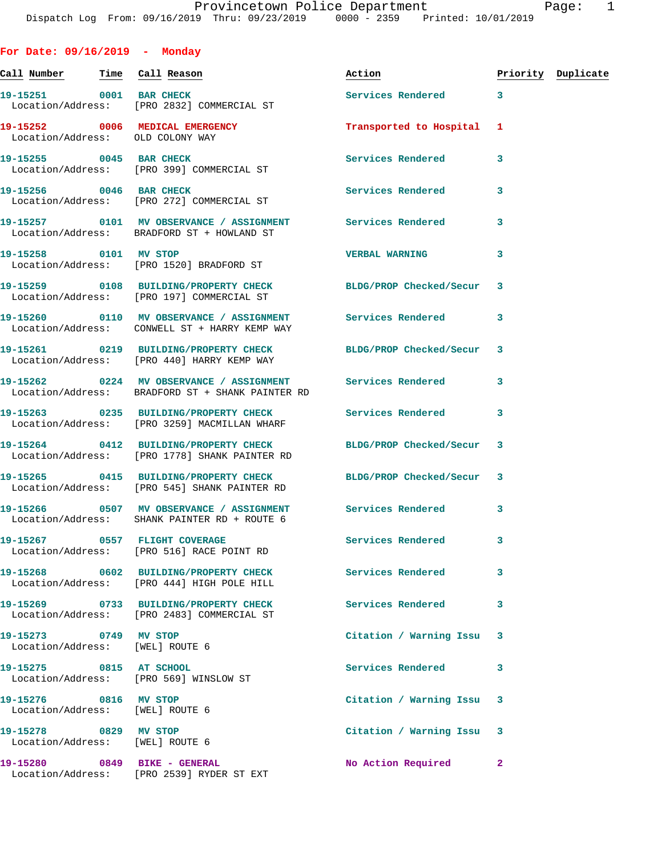**For Date: 09/16/2019 - Monday Call Number Time Call Reason Action Priority Duplicate 19-15251 0001 BAR CHECK Services Rendered 3**  Location/Address: [PRO 2832] COMMERCIAL ST **19-15252 0006 MEDICAL EMERGENCY Transported to Hospital 1**  Location/Address: OLD COLONY WAY **19-15255 0045 BAR CHECK Services Rendered 3**  Location/Address: [PRO 399] COMMERCIAL ST **19-15256 0046 BAR CHECK Services Rendered 3**  Location/Address: [PRO 272] COMMERCIAL ST **19-15257 0101 MV OBSERVANCE / ASSIGNMENT Services Rendered 3**  Location/Address: BRADFORD ST + HOWLAND ST **19-15258 0101 MV STOP VERBAL WARNING 3**  Location/Address: [PRO 1520] BRADFORD ST **19-15259 0108 BUILDING/PROPERTY CHECK BLDG/PROP Checked/Secur 3**  Location/Address: [PRO 197] COMMERCIAL ST **19-15260 0110 MV OBSERVANCE / ASSIGNMENT Services Rendered 3**  Location/Address: CONWELL ST + HARRY KEMP WAY **19-15261 0219 BUILDING/PROPERTY CHECK BLDG/PROP Checked/Secur 3**  Location/Address: [PRO 440] HARRY KEMP WAY **19-15262 0224 MV OBSERVANCE / ASSIGNMENT Services Rendered 3**  Location/Address: BRADFORD ST + SHANK PAINTER RD **19-15263 0235 BUILDING/PROPERTY CHECK Services Rendered 3**  Location/Address: [PRO 3259] MACMILLAN WHARF **19-15264 0412 BUILDING/PROPERTY CHECK BLDG/PROP Checked/Secur 3**  Location/Address: [PRO 1778] SHANK PAINTER RD **19-15265 0415 BUILDING/PROPERTY CHECK BLDG/PROP Checked/Secur 3**  Location/Address: [PRO 545] SHANK PAINTER RD **19-15266 0507 MV OBSERVANCE / ASSIGNMENT Services Rendered 3**  Location/Address: SHANK PAINTER RD + ROUTE 6 **19-15267 0557 FLIGHT COVERAGE Services Rendered 3**  Location/Address: [PRO 516] RACE POINT RD **19-15268 0602 BUILDING/PROPERTY CHECK Services Rendered 3**  Location/Address: [PRO 444] HIGH POLE HILL **19-15269 0733 BUILDING/PROPERTY CHECK Services Rendered 3**  Location/Address: [PRO 2483] COMMERCIAL ST **19-15273 0749 MV STOP Citation / Warning Issu 3**  Location/Address: [WEL] ROUTE 6 **19-15275 0815 AT SCHOOL Services Rendered 3**  Location/Address: [PRO 569] WINSLOW ST **19-15276 0816 MV STOP Citation / Warning Issu 3** 

 Location/Address: [WEL] ROUTE 6 **19-15278 0829 MV STOP Citation / Warning Issu 3** 

Location/Address: [WEL] ROUTE 6

**19-15280 0849 BIKE - GENERAL No Action Required 2**  Location/Address: [PRO 2539] RYDER ST EXT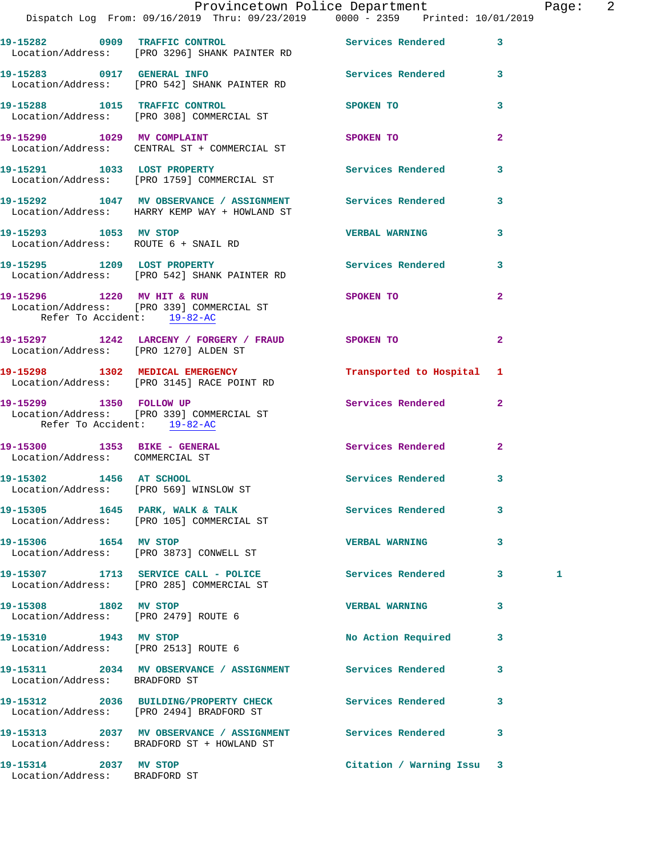|                                                                 | Dispatch Log From: 09/16/2019 Thru: 09/23/2019 0000 - 2359 Printed: 10/01/2019                                             | Provincetown Police Department |              | Page: 2 |  |
|-----------------------------------------------------------------|----------------------------------------------------------------------------------------------------------------------------|--------------------------------|--------------|---------|--|
|                                                                 | 19-15282 0909 TRAFFIC CONTROL Services Rendered 3<br>Location/Address: [PRO 3296] SHANK PAINTER RD                         |                                |              |         |  |
|                                                                 | 19-15283 0917 GENERAL INFO<br>Location/Address: [PRO 542] SHANK PAINTER RD<br>Docation/Address: [PRO 542] SHANK PAINTER RD |                                |              |         |  |
|                                                                 | 19-15288 1015 TRAFFIC CONTROL<br>Location/Address: [PRO 308] COMMERCIAL ST                                                 | SPOKEN TO                      | 3            |         |  |
|                                                                 | 19-15290 1029 MV COMPLAINT<br>Location/Address: CENTRAL ST + COMMERCIAL ST                                                 | SPOKEN TO                      | $\mathbf{2}$ |         |  |
|                                                                 | 19-15291 1033 LOST PROPERTY<br>Location/Address: [PRO 1759] COMMERCIAL ST                                                  | Services Rendered              | $\mathbf{3}$ |         |  |
|                                                                 | 19-15292 1047 MV OBSERVANCE / ASSIGNMENT Services Rendered 3<br>Location/Address: HARRY KEMP WAY + HOWLAND ST              |                                |              |         |  |
| 19-15293 1053 MV STOP                                           | Location/Address: ROUTE 6 + SNAIL RD                                                                                       | <b>VERBAL WARNING</b>          | $\mathbf{3}$ |         |  |
|                                                                 | 19-15295 1209 LOST PROPERTY<br>Location/Address: [PRO 542] SHANK PAINTER RD                                                | Services Rendered              | $\mathbf{3}$ |         |  |
| Refer To Accident: 19-82-AC                                     | 19-15296 1220 MV HIT & RUN<br>Location/Address: [PRO 339] COMMERCIAL ST                                                    | SPOKEN TO                      | $\mathbf{2}$ |         |  |
|                                                                 | 19-15297 1242 LARCENY / FORGERY / FRAUD SPOKEN TO<br>Location/Address: [PRO 1270] ALDEN ST                                 |                                | $\mathbf{2}$ |         |  |
|                                                                 | 19-15298 1302 MEDICAL EMERGENCY<br>Location/Address: [PRO 3145] RACE POINT RD                                              | Transported to Hospital 1      |              |         |  |
| Refer To Accident: 19-82-AC                                     | 19-15299 1350 FOLLOW UP<br>Location/Address: [PRO 339] COMMERCIAL ST                                                       | Services Rendered 2            |              |         |  |
| 19-15300 1353 BIKE - GENERAL<br>Location/Address: COMMERCIAL ST |                                                                                                                            | Services Rendered              | $\mathbf{2}$ |         |  |
| 19-15302 1456 AT SCHOOL                                         | Location/Address: [PRO 569] WINSLOW ST                                                                                     | Services Rendered 3            |              |         |  |
|                                                                 | 19-15305 1645 PARK, WALK & TALK 1999 Services Rendered 3<br>Location/Address: [PRO 105] COMMERCIAL ST                      |                                |              |         |  |
| 19-15306 1654 MV STOP                                           | Location/Address: [PRO 3873] CONWELL ST                                                                                    | <b>VERBAL WARNING</b>          | 3            |         |  |
|                                                                 | 19-15307 1713 SERVICE CALL - POLICE<br>Location/Address: [PRO 285] COMMERCIAL ST                                           | Services Rendered 3            |              | 1       |  |
| 19-15308 1802 MV STOP<br>Location/Address: [PRO 2479] ROUTE 6   |                                                                                                                            | <b>VERBAL WARNING</b>          | 3            |         |  |
| 19-15310 1943 MV STOP<br>Location/Address: [PRO 2513] ROUTE 6   |                                                                                                                            | No Action Required             | 3            |         |  |
| Location/Address: BRADFORD ST                                   | 19-15311 2034 MV OBSERVANCE / ASSIGNMENT Services Rendered                                                                 |                                | 3            |         |  |
|                                                                 | 19-15312 2036 BUILDING/PROPERTY CHECK Services Rendered<br>Location/Address: [PRO 2494] BRADFORD ST                        |                                | 3            |         |  |
|                                                                 | 19-15313 2037 MV OBSERVANCE / ASSIGNMENT Services Rendered 3<br>Location/Address: BRADFORD ST + HOWLAND ST                 |                                |              |         |  |
| 19-15314 2037 MV STOP<br>Location/Address: BRADFORD ST          |                                                                                                                            | Citation / Warning Issu 3      |              |         |  |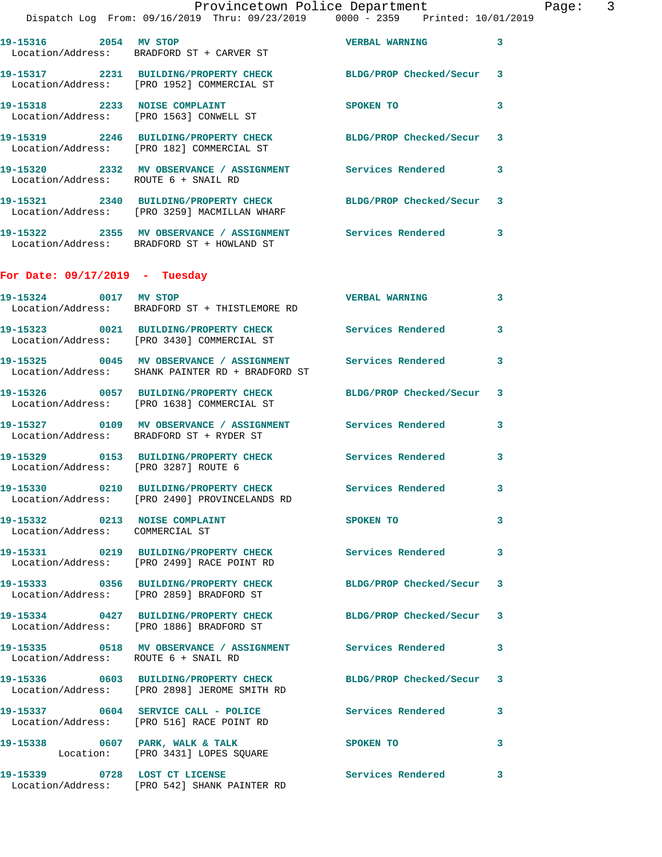|                                                                  | Provincetown Police Department<br>Dispatch Log From: 09/16/2019 Thru: 09/23/2019 0000 - 2359 Printed: 10/01/2019 |                                       |   | Page: 3 |  |
|------------------------------------------------------------------|------------------------------------------------------------------------------------------------------------------|---------------------------------------|---|---------|--|
|                                                                  | 19-15316 2054 MV STOP<br>Location/Address: BRADFORD ST + CARVER ST                                               | <b>VERBAL WARNING</b>                 | 3 |         |  |
|                                                                  | 19-15317 2231 BUILDING/PROPERTY CHECK BLDG/PROP Checked/Secur 3<br>Location/Address: [PRO 1952] COMMERCIAL ST    |                                       |   |         |  |
|                                                                  | 19-15318 2233 NOISE COMPLAINT<br>Location/Address: [PRO 1563] CONWELL ST                                         | SPOKEN TO                             | 3 |         |  |
|                                                                  | 19-15319 2246 BUILDING/PROPERTY CHECK BLDG/PROP Checked/Secur 3<br>Location/Address: [PRO 182] COMMERCIAL ST     |                                       |   |         |  |
| Location/Address: ROUTE 6 + SNAIL RD                             | 19-15320 2332 MV OBSERVANCE / ASSIGNMENT Services Rendered                                                       |                                       | 3 |         |  |
|                                                                  | 19-15321 2340 BUILDING/PROPERTY CHECK BLDG/PROP Checked/Secur 3<br>Location/Address: [PRO 3259] MACMILLAN WHARF  |                                       |   |         |  |
|                                                                  | 19-15322 2355 MV OBSERVANCE / ASSIGNMENT Services Rendered 3<br>Location/Address: BRADFORD ST + HOWLAND ST       |                                       |   |         |  |
| For Date: $09/17/2019$ - Tuesday                                 |                                                                                                                  |                                       |   |         |  |
|                                                                  | 19-15324 0017 MV STOP<br>Location/Address: BRADFORD ST + THISTLEMORE RD                                          | VERBAL WARNING 3                      |   |         |  |
|                                                                  | 19-15323 0021 BUILDING/PROPERTY CHECK Services Rendered<br>Location/Address: [PRO 3430] COMMERCIAL ST            |                                       | 3 |         |  |
|                                                                  | 19-15325 0045 MV OBSERVANCE / ASSIGNMENT Services Rendered<br>Location/Address: SHANK PAINTER RD + BRADFORD ST   |                                       | 3 |         |  |
|                                                                  | 19-15326 0057 BUILDING/PROPERTY CHECK<br>Location/Address: [PRO 1638] COMMERCIAL ST                              | BLDG/PROP Checked/Secur 3             |   |         |  |
|                                                                  | 19-15327 0109 MV OBSERVANCE / ASSIGNMENT Services Rendered 3<br>Location/Address: BRADFORD ST + RYDER ST         |                                       |   |         |  |
| Location/Address: [PRO 3287] ROUTE 6                             | 19-15329 0153 BUILDING/PROPERTY CHECK Services Rendered 3                                                        |                                       |   |         |  |
|                                                                  | 19-15330 0210 BUILDING/PROPERTY CHECK Services Rendered 3<br>Location/Address: [PRO 2490] PROVINCELANDS RD       |                                       |   |         |  |
| 19-15332 0213 NOISE COMPLAINT<br>Location/Address: COMMERCIAL ST |                                                                                                                  | SPOKEN TO                             | 3 |         |  |
|                                                                  | 19-15331 0219 BUILDING/PROPERTY CHECK Services Rendered<br>Location/Address: [PRO 2499] RACE POINT RD            |                                       | 3 |         |  |
|                                                                  | 19-15333 0356 BUILDING/PROPERTY CHECK BLDG/PROP Checked/Secur 3<br>Location/Address: [PRO 2859] BRADFORD ST      |                                       |   |         |  |
|                                                                  | 19-15334 0427 BUILDING/PROPERTY CHECK BLDG/PROP Checked/Secur 3<br>Location/Address: [PRO 1886] BRADFORD ST      |                                       |   |         |  |
| Location/Address: ROUTE 6 + SNAIL RD                             | 19-15335 0518 MV OBSERVANCE / ASSIGNMENT Services Rendered 3                                                     |                                       |   |         |  |
|                                                                  | 19-15336 0603 BUILDING/PROPERTY CHECK BLDG/PROP Checked/Secur 3<br>Location/Address: [PRO 2898] JEROME SMITH RD  |                                       |   |         |  |
|                                                                  | 19-15337 0604 SERVICE CALL - POLICE<br>Location/Address: [PRO 516] RACE POINT RD                                 | Services Rendered 3                   |   |         |  |
|                                                                  | 19-15338 0607 PARK, WALK & TALK<br>Location: [PRO 3431] LOPES SQUARE                                             | SPOKEN TO THE SPOKEN OF THE SPOKEN TO | 3 |         |  |
|                                                                  | 19-15339 0728 LOST CT LICENSE<br>Location/Address: [PRO 542] SHANK PAINTER RD                                    | Services Rendered 3                   |   |         |  |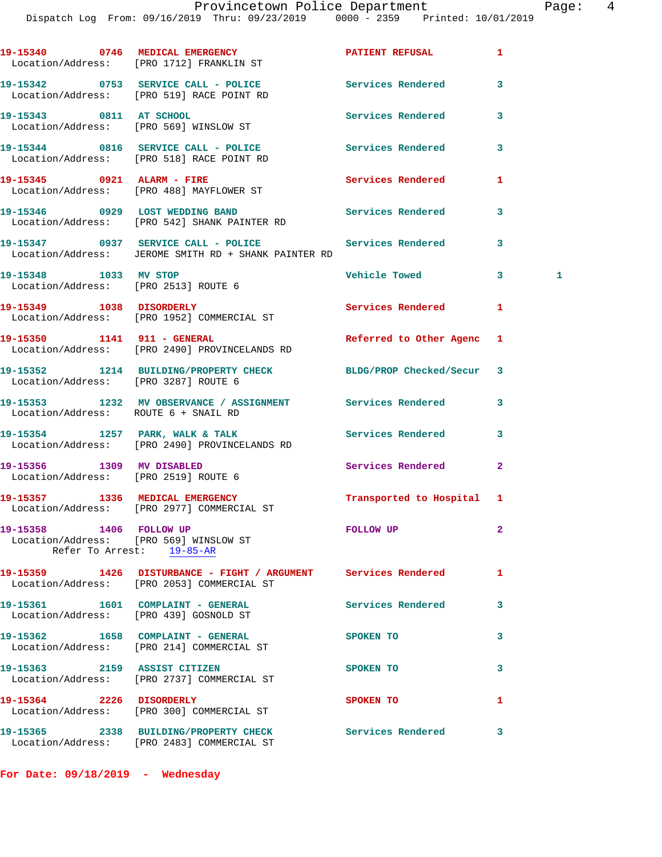|                                                                   | 19-15340 0746 MEDICAL EMERGENCY<br>Location/Address: [PRO 1712] FRANKLIN ST                                  | PATIENT REFUSAL          | 1              |   |
|-------------------------------------------------------------------|--------------------------------------------------------------------------------------------------------------|--------------------------|----------------|---|
|                                                                   | 19-15342 0753 SERVICE CALL - POLICE Services Rendered<br>Location/Address: [PRO 519] RACE POINT RD           |                          | 3              |   |
| 19-15343 0811 AT SCHOOL                                           | Location/Address: [PRO 569] WINSLOW ST                                                                       | Services Rendered        | 3              |   |
|                                                                   | 19-15344 0816 SERVICE CALL - POLICE Services Rendered<br>Location/Address: [PRO 518] RACE POINT RD           |                          | 3              |   |
|                                                                   | 19-15345 0921 ALARM - FIRE<br>Location/Address: [PRO 488] MAYFLOWER ST                                       | Services Rendered        | 1              |   |
|                                                                   | 19-15346 0929 LOST WEDDING BAND<br>Location/Address: [PRO 542] SHANK PAINTER RD                              | Services Rendered        | 3              |   |
|                                                                   | 19-15347 0937 SERVICE CALL - POLICE<br>Location/Address: JEROME SMITH RD + SHANK PAINTER RD                  | <b>Services Rendered</b> | 3              |   |
| 19-15348 1033 MV STOP<br>Location/Address: [PRO 2513] ROUTE 6     |                                                                                                              | <b>Vehicle Towed</b>     | $\mathbf{3}$   | 1 |
|                                                                   | 19-15349 1038 DISORDERLY<br>Location/Address: [PRO 1952] COMMERCIAL ST                                       | Services Rendered        | 1              |   |
|                                                                   | 19-15350 1141 911 - GENERAL<br>Location/Address: [PRO 2490] PROVINCELANDS RD                                 | Referred to Other Agenc  | 1              |   |
| Location/Address: [PRO 3287] ROUTE 6                              | 19-15352 1214 BUILDING/PROPERTY CHECK BLDG/PROP Checked/Secur 3                                              |                          |                |   |
| Location/Address: ROUTE 6 + SNAIL RD                              | 19-15353 1232 MV OBSERVANCE / ASSIGNMENT Services Rendered                                                   |                          | 3              |   |
|                                                                   | 19-15354 1257 PARK, WALK & TALK<br>Location/Address: [PRO 2490] PROVINCELANDS RD                             | Services Rendered        | 3              |   |
| 19-15356 1309 MV DISABLED<br>Location/Address: [PRO 2519] ROUTE 6 |                                                                                                              | Services Rendered        | $\overline{a}$ |   |
|                                                                   | 19-15357 1336 MEDICAL EMERGENCY<br>Location/Address: [PRO 2977] COMMERCIAL ST                                | Transported to Hospital  | 1              |   |
| 19-15358 1406 FOLLOW UP                                           | Location/Address: [PRO 569] WINSLOW ST<br>Refer To Arrest: 19-85-AR                                          | <b>FOLLOW UP</b>         | 2              |   |
|                                                                   | 19-15359 1426 DISTURBANCE - FIGHT / ARGUMENT Services Rendered<br>Location/Address: [PRO 2053] COMMERCIAL ST |                          | 1              |   |
| Location/Address: [PRO 439] GOSNOLD ST                            | 19-15361 1601 COMPLAINT - GENERAL                                                                            | <b>Services Rendered</b> | 3              |   |
|                                                                   | 19-15362 1658 COMPLAINT - GENERAL<br>Location/Address: [PRO 214] COMMERCIAL ST                               | <b>SPOKEN TO</b>         | 3              |   |
|                                                                   | 19-15363 2159 ASSIST CITIZEN<br>Location/Address: [PRO 2737] COMMERCIAL ST                                   | <b>SPOKEN TO</b>         | 3              |   |
| 19-15364 2226 DISORDERLY                                          | Location/Address: [PRO 300] COMMERCIAL ST                                                                    | SPOKEN TO                | 1              |   |
|                                                                   | 19-15365 2338 BUILDING/PROPERTY CHECK<br>Location/Address: [PRO 2483] COMMERCIAL ST                          | <b>Services Rendered</b> | 3              |   |

**For Date: 09/18/2019 - Wednesday**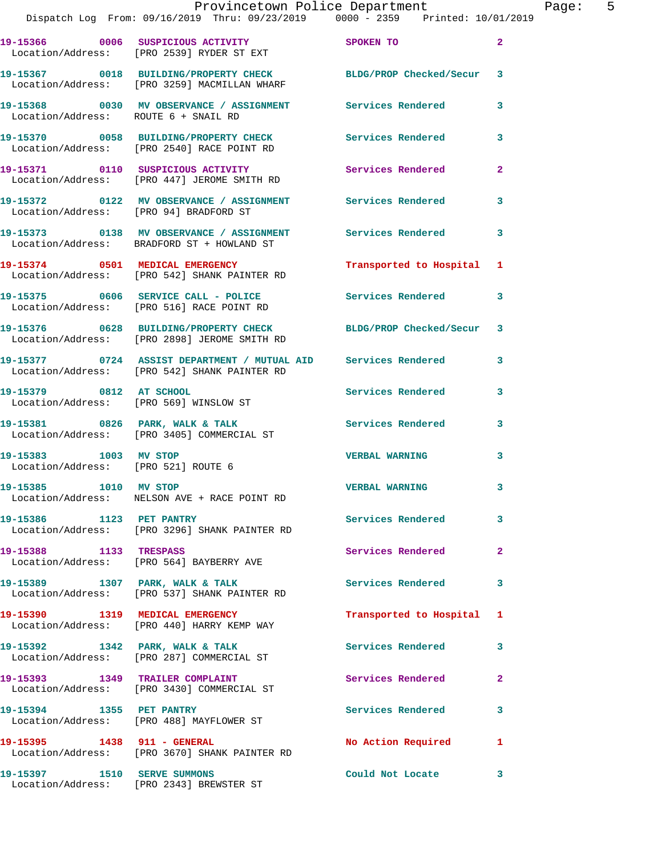|                                        | Provincetown Police Department The Page: 5<br>Dispatch Log From: 09/16/2019 Thru: 09/23/2019 0000 - 2359 Printed: 10/01/2019 |                           |              |  |
|----------------------------------------|------------------------------------------------------------------------------------------------------------------------------|---------------------------|--------------|--|
|                                        | 19-15366 0006 SUSPICIOUS ACTIVITY SPOKEN TO<br>Location/Address: [PRO 2539] RYDER ST EXT                                     |                           | $\mathbf{2}$ |  |
|                                        | 19-15367 0018 BUILDING/PROPERTY CHECK BLDG/PROP Checked/Secur 3<br>Location/Address: [PRO 3259] MACMILLAN WHARF              |                           |              |  |
| Location/Address: ROUTE 6 + SNAIL RD   | 19-15368 0030 MV OBSERVANCE / ASSIGNMENT Services Rendered                                                                   |                           | 3            |  |
|                                        | 19-15370     0058 BUILDING/PROPERTY CHECK        Services Rendered<br>Location/Address:   [PRO 2540] RACE POINT RD           |                           | $\mathbf{3}$ |  |
|                                        | 19-15371 0110 SUSPICIOUS ACTIVITY<br>Location/Address: [PRO 447] JEROME SMITH RD                                             | Services Rendered         | $\mathbf{2}$ |  |
| Location/Address: [PRO 94] BRADFORD ST | 19-15372 0122 MV OBSERVANCE / ASSIGNMENT Services Rendered                                                                   |                           | 3            |  |
|                                        | 19-15373 0138 MV OBSERVANCE / ASSIGNMENT Services Rendered 3<br>Location/Address: BRADFORD ST + HOWLAND ST                   |                           |              |  |
|                                        | 19-15374 0501 MEDICAL EMERGENCY<br>Location/Address: [PRO 542] SHANK PAINTER RD                                              | Transported to Hospital 1 |              |  |
|                                        | 19-15375 0606 SERVICE CALL - POLICE 3 Services Rendered 3<br>Location/Address: [PRO 516] RACE POINT RD                       |                           |              |  |
|                                        | 19-15376 0628 BUILDING/PROPERTY CHECK BLDG/PROP Checked/Secur 3<br>Location/Address: [PRO 2898] JEROME SMITH RD              |                           |              |  |
|                                        | 19-15377 0724 ASSIST DEPARTMENT / MUTUAL AID Services Rendered 3<br>Location/Address: [PRO 542] SHANK PAINTER RD             |                           |              |  |
|                                        | 19-15379 0812 AT SCHOOL<br>Location/Address: [PRO 569] WINSLOW ST                                                            | Services Rendered         | 3            |  |
|                                        | 19-15381 0826 PARK, WALK & TALK 3 Services Rendered 3<br>Location/Address: [PRO 3405] COMMERCIAL ST                          |                           |              |  |
| Location/Address: [PRO 521] ROUTE 6    | 19-15383 1003 MV STOP                                                                                                        | <b>VERBAL WARNING</b>     | 3            |  |
| 19-15385 1010 MV STOP                  | Location/Address: NELSON AVE + RACE POINT RD                                                                                 | <b>VERBAL WARNING</b>     |              |  |
| 19-15386 1123 PET PANTRY               | Location/Address: [PRO 3296] SHANK PAINTER RD                                                                                | Services Rendered         | 3            |  |
| 19-15388 1133 TRESPASS                 | Location/Address: [PRO 564] BAYBERRY AVE                                                                                     | Services Rendered         | $\mathbf{2}$ |  |
|                                        | 19-15389 1307 PARK, WALK & TALK<br>Location/Address: [PRO 537] SHANK PAINTER RD                                              | <b>Services Rendered</b>  | 3            |  |
|                                        | 19-15390 1319 MEDICAL EMERGENCY<br>Location/Address: [PRO 440] HARRY KEMP WAY                                                | Transported to Hospital 1 |              |  |
|                                        | 19-15392 1342 PARK, WALK & TALK<br>Location/Address: [PRO 287] COMMERCIAL ST                                                 | Services Rendered         | 3            |  |
|                                        | 19-15393 1349 TRAILER COMPLAINT<br>Location/Address: [PRO 3430] COMMERCIAL ST                                                | Services Rendered         | $\mathbf{2}$ |  |
|                                        | 19-15394 1355 PET PANTRY<br>Location/Address: [PRO 488] MAYFLOWER ST                                                         | Services Rendered         | 3            |  |
| 19-15395 1438 911 - GENERAL            | Location/Address: [PRO 3670] SHANK PAINTER RD                                                                                | No Action Required        | 1            |  |

Location/Address: [PRO 2343] BREWSTER ST

**19-15397 1510 SERVE SUMMONS Could Not Locate 3**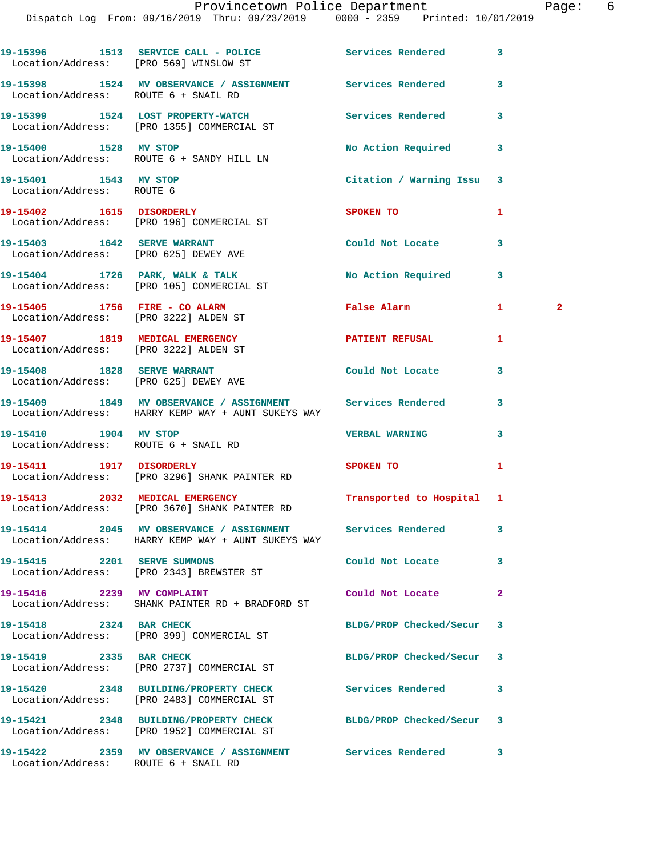|                                                                      | 19-15396 1513 SERVICE CALL - POLICE 1997 Services Rendered<br>Location/Address: [PRO 569] WINSLOW ST             |                           | 3  |              |
|----------------------------------------------------------------------|------------------------------------------------------------------------------------------------------------------|---------------------------|----|--------------|
| Location/Address: ROUTE 6 + SNAIL RD                                 | 19-15398 1524 MV OBSERVANCE / ASSIGNMENT Services Rendered                                                       |                           | 3  |              |
|                                                                      | 19-15399 1524 LOST PROPERTY-WATCH<br>Location/Address: [PRO 1355] COMMERCIAL ST                                  | <b>Services Rendered</b>  | 3  |              |
|                                                                      | 19-15400 1528 MV STOP<br>Location/Address: ROUTE 6 + SANDY HILL LN                                               | No Action Required        | 3  |              |
| 19-15401 1543 MV STOP<br>Location/Address: ROUTE 6                   |                                                                                                                  | Citation / Warning Issu   | 3  |              |
|                                                                      | 19-15402 1615 DISORDERLY<br>Location/Address: [PRO 196] COMMERCIAL ST                                            | SPOKEN TO                 | 1  |              |
|                                                                      | 19-15403 1642 SERVE WARRANT<br>Location/Address: [PRO 625] DEWEY AVE                                             | Could Not Locate          | 3  |              |
|                                                                      | 19-15404 1726 PARK, WALK & TALK<br>Location/Address: [PRO 105] COMMERCIAL ST                                     | No Action Required        | 3  |              |
| 19-15405 1756 FIRE - CO ALARM                                        | Location/Address: [PRO 3222] ALDEN ST                                                                            | <b>False Alarm</b>        | 1. | $\mathbf{2}$ |
| Location/Address: [PRO 3222] ALDEN ST                                | 19-15407 1819 MEDICAL EMERGENCY                                                                                  | PATIENT REFUSAL           | 1  |              |
| 19-15408 1828 SERVE WARRANT<br>Location/Address: [PRO 625] DEWEY AVE |                                                                                                                  | Could Not Locate          | 3  |              |
|                                                                      | 19-15409 1849 MV OBSERVANCE / ASSIGNMENT Services Rendered<br>Location/Address: HARRY KEMP WAY + AUNT SUKEYS WAY |                           | 3  |              |
| 19-15410 1904 MV STOP<br>Location/Address: ROUTE 6 + SNAIL RD        |                                                                                                                  | <b>VERBAL WARNING</b>     | 3  |              |
| 19-15411 1917 DISORDERLY                                             | Location/Address: [PRO 3296] SHANK PAINTER RD                                                                    | SPOKEN TO                 | 1  |              |
|                                                                      | 19-15413 2032 MEDICAL EMERGENCY<br>Location/Address: [PRO 3670] SHANK PAINTER RD                                 | Transported to Hospital 1 |    |              |
|                                                                      | 19-15414 2045 MV OBSERVANCE / ASSIGNMENT Services Rendered<br>Location/Address: HARRY KEMP WAY + AUNT SUKEYS WAY |                           | 3  |              |
| 19-15415 2201 SERVE SUMMONS                                          | Location/Address: [PRO 2343] BREWSTER ST                                                                         | Could Not Locate          | 3  |              |
| 19-15416 2239 MV COMPLAINT                                           | Location/Address: SHANK PAINTER RD + BRADFORD ST                                                                 | Could Not Locate          | 2  |              |
| 19-15418 2324 BAR CHECK                                              | Location/Address: [PRO 399] COMMERCIAL ST                                                                        | BLDG/PROP Checked/Secur   | 3  |              |
| 19-15419 2335 BAR CHECK                                              | Location/Address: [PRO 2737] COMMERCIAL ST                                                                       | BLDG/PROP Checked/Secur   | 3  |              |
|                                                                      | 19-15420 2348 BUILDING/PROPERTY CHECK<br>Location/Address: [PRO 2483] COMMERCIAL ST                              | Services Rendered         | 3  |              |
|                                                                      | 19-15421 2348 BUILDING/PROPERTY CHECK BLDG/PROP Checked/Secur<br>Location/Address: [PRO 1952] COMMERCIAL ST      |                           | 3  |              |
| Location/Address: ROUTE 6 + SNAIL RD                                 | 19-15422 2359 MV OBSERVANCE / ASSIGNMENT Services Rendered                                                       |                           | 3  |              |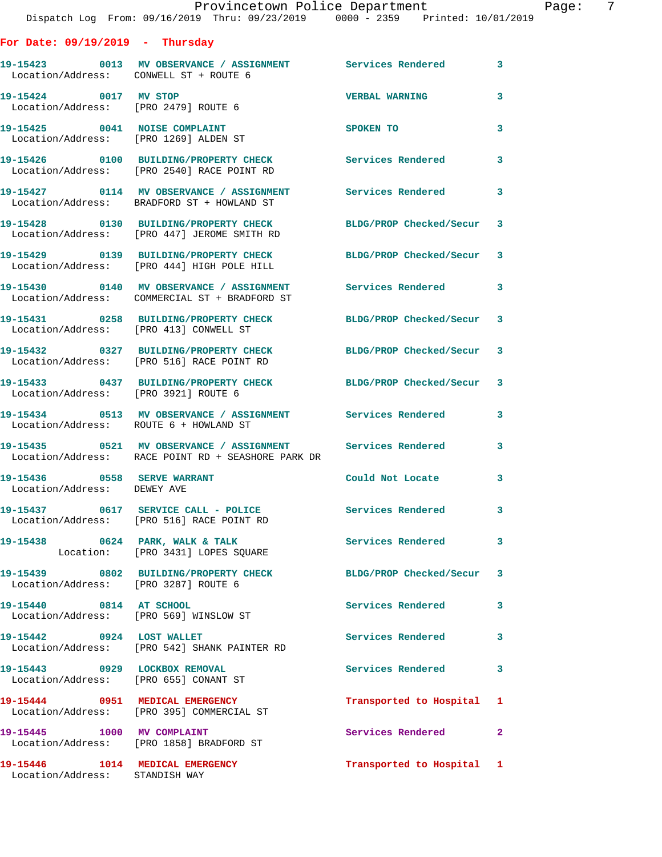**For Date: 09/19/2019 - Thursday**

| Location/Address: CONWELL ST + ROUTE 6                                 | 19-15423 0013 MV OBSERVANCE / ASSIGNMENT Services Rendered                                                       |                           | 3                          |
|------------------------------------------------------------------------|------------------------------------------------------------------------------------------------------------------|---------------------------|----------------------------|
| 19-15424 0017 MV STOP<br>Location/Address: [PRO 2479] ROUTE 6          |                                                                                                                  | <b>VERBAL WARNING</b>     | 3                          |
| 19-15425 0041 NOISE COMPLAINT<br>Location/Address: [PRO 1269] ALDEN ST |                                                                                                                  | <b>SPOKEN TO</b>          | 3                          |
|                                                                        | 19-15426 0100 BUILDING/PROPERTY CHECK<br>Location/Address: [PRO 2540] RACE POINT RD                              | Services Rendered         | 3                          |
|                                                                        | 19-15427 0114 MV OBSERVANCE / ASSIGNMENT<br>Location/Address: BRADFORD ST + HOWLAND ST                           | Services Rendered         | $\overline{\phantom{a}}$ 3 |
|                                                                        | 19-15428 0130 BUILDING/PROPERTY CHECK<br>Location/Address: [PRO 447] JEROME SMITH RD                             | BLDG/PROP Checked/Secur 3 |                            |
|                                                                        | 19-15429 0139 BUILDING/PROPERTY CHECK<br>Location/Address: [PRO 444] HIGH POLE HILL                              | BLDG/PROP Checked/Secur 3 |                            |
|                                                                        | 19-15430 0140 MV OBSERVANCE / ASSIGNMENT Services Rendered<br>Location/Address: COMMERCIAL ST + BRADFORD ST      |                           | 3                          |
| Location/Address: [PRO 413] CONWELL ST                                 | 19-15431 0258 BUILDING/PROPERTY CHECK BLDG/PROP Checked/Secur 3                                                  |                           |                            |
|                                                                        | 19-15432 0327 BUILDING/PROPERTY CHECK<br>Location/Address: [PRO 516] RACE POINT RD                               | BLDG/PROP Checked/Secur 3 |                            |
| Location/Address: [PRO 3921] ROUTE 6                                   | 19-15433 0437 BUILDING/PROPERTY CHECK BLDG/PROP Checked/Secur 3                                                  |                           |                            |
| Location/Address: ROUTE 6 + HOWLAND ST                                 | 19-15434 0513 MV OBSERVANCE / ASSIGNMENT Services Rendered                                                       |                           | 3                          |
|                                                                        | 19-15435 0521 MV OBSERVANCE / ASSIGNMENT Services Rendered<br>Location/Address: RACE POINT RD + SEASHORE PARK DR |                           | 3                          |
| 19-15436 0558 SERVE WARRANT<br>Location/Address: DEWEY AVE             |                                                                                                                  | Could Not Locate          | 3                          |
|                                                                        | 19-15437 0617 SERVICE CALL - POLICE<br>Location/Address: [PRO 516] RACE POINT RD                                 | <b>Services Rendered</b>  | $\overline{\phantom{a}}$ 3 |
| 19-15438 0624 PARK, WALK & TALK                                        | Location: [PRO 3431] LOPES SOUARE                                                                                | Services Rendered         | 3                          |
| Location/Address: [PRO 3287] ROUTE 6                                   | 19-15439 0802 BUILDING/PROPERTY CHECK                                                                            | BLDG/PROP Checked/Secur 3 |                            |
| 19-15440 0814 AT SCHOOL<br>Location/Address: [PRO 569] WINSLOW ST      |                                                                                                                  | Services Rendered         | $\mathbf{3}$               |
| 19-15442 0924 LOST WALLET                                              | Location/Address: [PRO 542] SHANK PAINTER RD                                                                     | Services Rendered 3       |                            |
| 19-15443 0929 LOCKBOX REMOVAL<br>Location/Address: [PRO 655] CONANT ST |                                                                                                                  | <b>Services Rendered</b>  | $\mathbf{3}$               |
|                                                                        | 19-15444 0951 MEDICAL EMERGENCY<br>Location/Address: [PRO 395] COMMERCIAL ST                                     | Transported to Hospital 1 |                            |
| 19-15445 1000 MV COMPLAINT                                             | Location/Address: [PRO 1858] BRADFORD ST                                                                         | <b>Services Rendered</b>  | $\mathbf{2}$               |
| 19-15446   1014   MEDICAL EMERGENCY<br>Location/Address: STANDISH WAY  |                                                                                                                  | Transported to Hospital 1 |                            |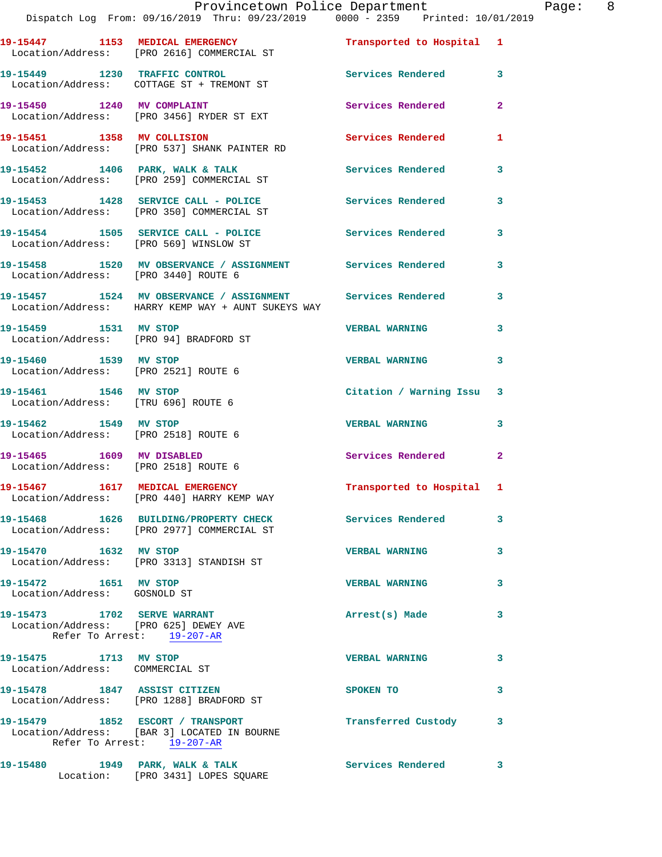|                                                                     | Provincetown Police Department<br>Dispatch Log From: 09/16/2019 Thru: 09/23/2019 0000 - 2359 Printed: 10/01/2019   |                           |              | Page: 8 |  |
|---------------------------------------------------------------------|--------------------------------------------------------------------------------------------------------------------|---------------------------|--------------|---------|--|
|                                                                     | 19-15447 1153 MEDICAL EMERGENCY<br>Location/Address: [PRO 2616] COMMERCIAL ST                                      | Transported to Hospital 1 |              |         |  |
|                                                                     | 19-15449 1230 TRAFFIC CONTROL Services Rendered 3<br>Location/Address: COTTAGE ST + TREMONT ST                     |                           |              |         |  |
|                                                                     | 19-15450 1240 MV COMPLAINT<br>Location/Address: [PRO 3456] RYDER ST EXT                                            | Services Rendered 2       |              |         |  |
|                                                                     | 19-15451 1358 MV COLLISION<br>Location/Address: [PRO 537] SHANK PAINTER RD                                         | Services Rendered 1       |              |         |  |
|                                                                     | 19-15452 1406 PARK, WALK & TALK<br>Location/Address: [PRO 259] COMMERCIAL ST                                       | Services Rendered 3       |              |         |  |
|                                                                     | 19-15453 1428 SERVICE CALL - POLICE Services Rendered 3<br>Location/Address: [PRO 350] COMMERCIAL ST               |                           |              |         |  |
|                                                                     | 19-15454 1505 SERVICE CALL - POLICE 1991 Services Rendered 3<br>Location/Address: [PRO 569] WINSLOW ST             |                           |              |         |  |
|                                                                     | 19-15458 1520 MV OBSERVANCE / ASSIGNMENT Services Rendered 3<br>Location/Address: [PRO 3440] ROUTE 6               |                           |              |         |  |
|                                                                     | 19-15457 1524 MV OBSERVANCE / ASSIGNMENT Services Rendered 3<br>Location/Address: HARRY KEMP WAY + AUNT SUKEYS WAY |                           |              |         |  |
| Location/Address: [PRO 94] BRADFORD ST                              | 19-15459 1531 MV STOP                                                                                              | <b>VERBAL WARNING</b>     | 3            |         |  |
| 19-15460 1539 MV STOP<br>Location/Address: [PRO 2521] ROUTE 6       |                                                                                                                    | VERBAL WARNING 3          |              |         |  |
| 19-15461 1546 MV STOP<br>Location/Address: [TRU 696] ROUTE 6        |                                                                                                                    | Citation / Warning Issu 3 |              |         |  |
| 19-15462 1549 MV STOP<br>Location/Address: [PRO 2518] ROUTE 6       |                                                                                                                    | <b>VERBAL WARNING</b>     | 3            |         |  |
| 19-15465 1609 MV DISABLED<br>Location/Address: [PRO 2518] ROUTE 6   |                                                                                                                    | Services Rendered 2       |              |         |  |
|                                                                     | 19-15467 1617 MEDICAL EMERGENCY<br>Location/Address: [PRO 440] HARRY KEMP WAY                                      | Transported to Hospital 1 |              |         |  |
|                                                                     | 19-15468 1626 BUILDING/PROPERTY CHECK Services Rendered 3<br>Location/Address: [PRO 2977] COMMERCIAL ST            |                           |              |         |  |
| 19-15470 1632 MV STOP                                               | Location/Address: [PRO 3313] STANDISH ST                                                                           | <b>VERBAL WARNING</b>     | 3            |         |  |
| 19-15472 1651 MV STOP<br>Location/Address: GOSNOLD ST               |                                                                                                                    | <b>VERBAL WARNING</b>     | 3            |         |  |
| Location/Address: [PRO 625] DEWEY AVE<br>Refer To Arrest: 19-207-AR | 19-15473 1702 SERVE WARRANT                                                                                        | Arrest(s) Made            | 3            |         |  |
| 19-15475 1713 MV STOP<br>Location/Address: COMMERCIAL ST            |                                                                                                                    | <b>VERBAL WARNING</b>     | 3            |         |  |
|                                                                     | 19-15478 1847 ASSIST CITIZEN<br>Location/Address: [PRO 1288] BRADFORD ST                                           | SPOKEN TO                 | 3            |         |  |
|                                                                     | 19-15479 1852 ESCORT / TRANSPORT<br>Location/Address: [BAR 3] LOCATED IN BOURNE<br>Refer To Arrest: 19-207-AR      | Transferred Custody 3     |              |         |  |
|                                                                     | 19-15480 1949 PARK, WALK & TALK<br>Location: [PRO 3431] LOPES SQUARE                                               | <b>Services Rendered</b>  | $\mathbf{3}$ |         |  |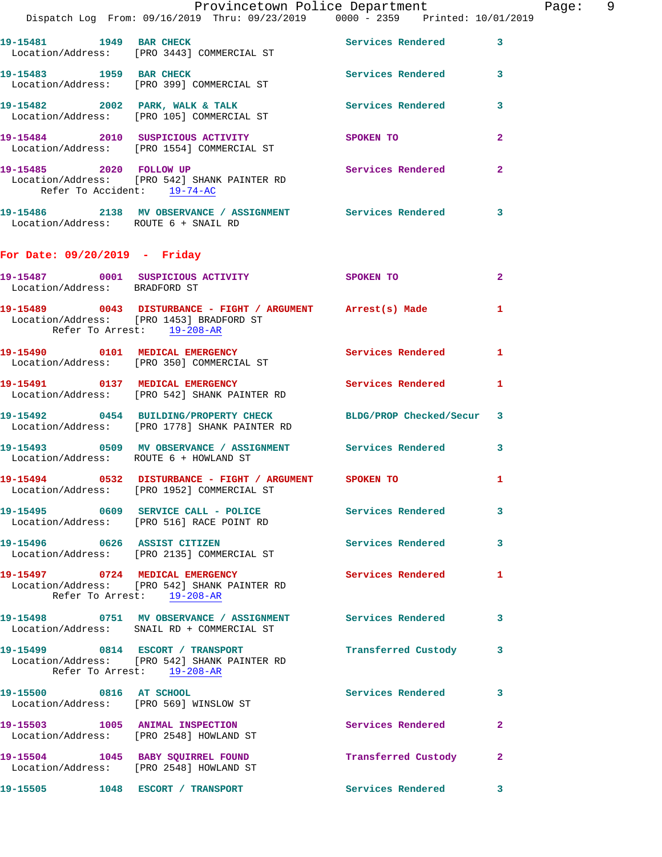|                                        | Provincetown Police Department                                                                                   |                       |              | Page: 9 |  |
|----------------------------------------|------------------------------------------------------------------------------------------------------------------|-----------------------|--------------|---------|--|
|                                        | Dispatch Log From: 09/16/2019 Thru: 09/23/2019 0000 - 2359 Printed: 10/01/2019                                   |                       |              |         |  |
|                                        | 19-15481 1949 BAR CHECK Services Rendered 3<br>Location/Address: [PRO 3443] COMMERCIAL ST                        |                       |              |         |  |
| 19-15483 1959 BAR CHECK                | Location/Address: [PRO 399] COMMERCIAL ST                                                                        | Services Rendered 3   |              |         |  |
|                                        | 19-15482 2002 PARK, WALK & TALK Services Rendered 3<br>Location/Address: [PRO 105] COMMERCIAL ST                 |                       |              |         |  |
|                                        | 19-15484 2010 SUSPICIOUS ACTIVITY SPOKEN TO<br>Location/Address: [PRO 1554] COMMERCIAL ST                        |                       | $\mathbf{2}$ |         |  |
| Refer To Accident: 19-74-AC            | 19-15485 2020 FOLLOW UP<br>Location/Address: [PRO 542] SHANK PAINTER RD                                          | Services Rendered 2   |              |         |  |
| Location/Address: ROUTE 6 + SNAIL RD   | 19-15486 2138 MV OBSERVANCE / ASSIGNMENT Services Rendered 3                                                     |                       |              |         |  |
| For Date: $09/20/2019$ - Friday        |                                                                                                                  |                       |              |         |  |
| Location/Address: BRADFORD ST          | 19-15487 0001 SUSPICIOUS ACTIVITY SPOKEN TO                                                                      |                       | $\mathbf{2}$ |         |  |
| Refer To Arrest: 19-208-AR             | 19-15489 0043 DISTURBANCE - FIGHT / ARGUMENT Arrest(s) Made 1<br>Location/Address: [PRO 1453] BRADFORD ST        |                       |              |         |  |
|                                        | 19-15490 0101 MEDICAL EMERGENCY Services Rendered 1<br>Location/Address: [PRO 350] COMMERCIAL ST                 |                       |              |         |  |
|                                        | 19-15491 0137 MEDICAL EMERGENCY Services Rendered 1<br>Location/Address: [PRO 542] SHANK PAINTER RD              |                       |              |         |  |
|                                        | 19-15492 0454 BUILDING/PROPERTY CHECK BLDG/PROP Checked/Secur 3<br>Location/Address: [PRO 1778] SHANK PAINTER RD |                       |              |         |  |
| Location/Address: ROUTE 6 + HOWLAND ST | 19-15493 0509 MV OBSERVANCE / ASSIGNMENT Services Rendered 3                                                     |                       |              |         |  |
|                                        | 19-15494 0532 DISTURBANCE - FIGHT / ARGUMENT SPOKEN TO 1<br>Location/Address: [PRO 1952] COMMERCIAL ST           |                       |              |         |  |
|                                        | 19-15495 0609 SERVICE CALL - POLICE 3 Services Rendered 3<br>Location/Address: [PRO 516] RACE POINT RD           |                       |              |         |  |
|                                        | 19-15496 0626 ASSIST CITIZEN<br>Location/Address: [PRO 2135] COMMERCIAL ST                                       | Services Rendered 3   |              |         |  |
| Refer To Arrest: 19-208-AR             | 19-15497 0724 MEDICAL EMERGENCY Services Rendered 1<br>Location/Address: [PRO 542] SHANK PAINTER RD              |                       |              |         |  |
|                                        | 19-15498 0751 MV OBSERVANCE / ASSIGNMENT Services Rendered 3<br>Location/Address: SNAIL RD + COMMERCIAL ST       |                       |              |         |  |
| Refer To Arrest: 19-208-AR             | 19-15499 0814 ESCORT / TRANSPORT<br>Location/Address: [PRO 542] SHANK PAINTER RD                                 | Transferred Custody 3 |              |         |  |
|                                        | 19-15500 0816 AT SCHOOL<br>Location/Address: [PRO 569] WINSLOW ST                                                | Services Rendered 3   |              |         |  |
|                                        | 19-15503 1005 ANIMAL INSPECTION<br>Location/Address: [PRO 2548] HOWLAND ST                                       | Services Rendered 2   |              |         |  |
|                                        | 19-15504 1045 BABY SQUIRREL FOUND<br>Location/Address: [PRO 2548] HOWLAND ST                                     | Transferred Custody 2 |              |         |  |
|                                        |                                                                                                                  | Services Rendered     | $\mathbf{3}$ |         |  |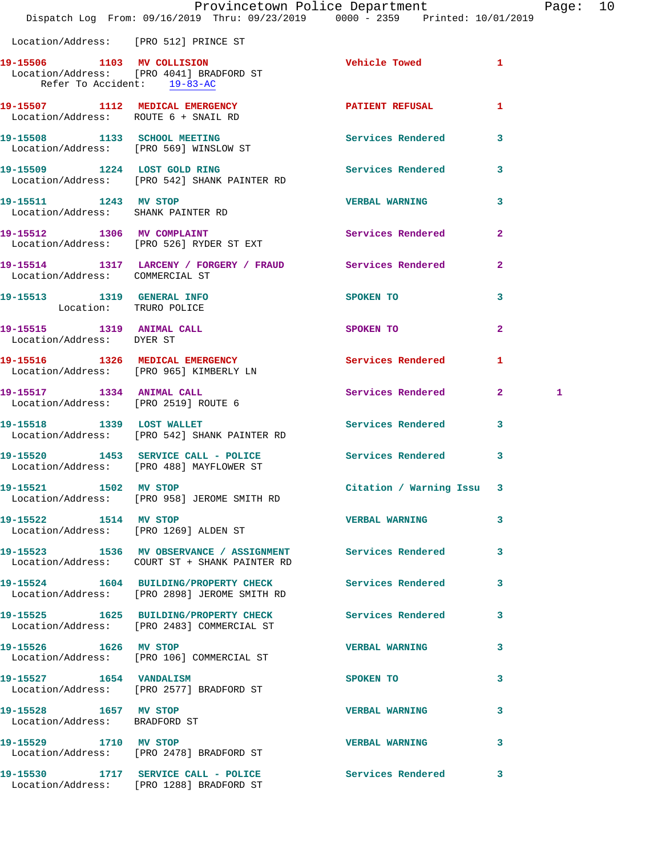|                                                        | Provincetown Police Department The Page: 10<br>Dispatch Log From: 09/16/2019 Thru: 09/23/2019 0000 - 2359 Printed: 10/01/2019 |                           |              |   |  |
|--------------------------------------------------------|-------------------------------------------------------------------------------------------------------------------------------|---------------------------|--------------|---|--|
| Location/Address: [PRO 512] PRINCE ST                  |                                                                                                                               |                           |              |   |  |
| Refer To Accident: 19-83-AC                            | 19-15506 1103 MV COLLISION<br>Location/Address: [PRO 4041] BRADFORD ST                                                        | Vehicle Towed 1           |              |   |  |
| Location/Address: ROUTE 6 + SNAIL RD                   | 19-15507 1112 MEDICAL EMERGENCY 1 PATIENT REFUSAL 1                                                                           |                           |              |   |  |
|                                                        | 19-15508 1133 SCHOOL MEETING<br>Location/Address: [PRO 569] WINSLOW ST                                                        | Services Rendered 3       |              |   |  |
|                                                        | 19-15509 1224 LOST GOLD RING<br>Location/Address: [PRO 542] SHANK PAINTER RD                                                  | Services Rendered 3       |              |   |  |
| 19-15511 1243 MV STOP                                  | Location/Address: SHANK PAINTER RD                                                                                            | <b>VERBAL WARNING 3</b>   |              |   |  |
|                                                        | 19-15512 1306 MV COMPLAINT<br>Location/Address: [PRO 526] RYDER ST EXT                                                        | Services Rendered 2       |              |   |  |
|                                                        | 19-15514 1317 LARCENY / FORGERY / FRAUD Services Rendered 2<br>Location/Address: COMMERCIAL ST                                |                           |              |   |  |
| 19-15513 1319 GENERAL INFO<br>Location: TRURO POLICE   |                                                                                                                               | SPOKEN TO                 | 3            |   |  |
| 19-15515 1319 ANIMAL CALL<br>Location/Address: DYER ST |                                                                                                                               | SPOKEN TO                 | $\mathbf{2}$ |   |  |
|                                                        | 19-15516 1326 MEDICAL EMERGENCY<br>Location/Address: [PRO 965] KIMBERLY LN                                                    | Services Rendered 1       |              |   |  |
|                                                        | 19-15517 1334 ANIMAL CALL<br>Location/Address: [PRO 2519] ROUTE 6                                                             | Services Rendered 2       |              | 1 |  |
|                                                        | 19-15518 1339 LOST WALLET<br>Location/Address: [PRO 542] SHANK PAINTER RD                                                     | Services Rendered 3       |              |   |  |
|                                                        | 19-15520 1453 SERVICE CALL - POLICE Services Rendered 3<br>Location/Address: [PRO 488] MAYFLOWER ST                           |                           |              |   |  |
| 19-15521 1502 MV STOP                                  | Location/Address: [PRO 958] JEROME SMITH RD                                                                                   | Citation / Warning Issu 3 |              |   |  |
| 19-15522 1514 MV STOP                                  | Location/Address: [PRO 1269] ALDEN ST                                                                                         | VERBAL WARNING 3          |              |   |  |
|                                                        | 19-15523 1536 MV OBSERVANCE / ASSIGNMENT Services Rendered 3<br>Location/Address: COURT ST + SHANK PAINTER RD                 |                           |              |   |  |
|                                                        | 19-15524 1604 BUILDING/PROPERTY CHECK Services Rendered 3<br>Location/Address: [PRO 2898] JEROME SMITH RD                     |                           |              |   |  |
|                                                        | 19-15525 1625 BUILDING/PROPERTY CHECK Services Rendered 3<br>Location/Address: [PRO 2483] COMMERCIAL ST                       |                           |              |   |  |
| 19-15526 1626 MV STOP                                  | Location/Address: [PRO 106] COMMERCIAL ST                                                                                     | <b>VERBAL WARNING</b>     | 3            |   |  |
|                                                        | 19-15527 1654 VANDALISM<br>Location/Address: [PRO 2577] BRADFORD ST                                                           | SPOKEN TO                 | 3            |   |  |
| 19-15528 1657 MV STOP<br>Location/Address: BRADFORD ST |                                                                                                                               | <b>VERBAL WARNING</b>     | 3            |   |  |
| 19-15529 1710 MV STOP                                  | Location/Address: [PRO 2478] BRADFORD ST                                                                                      | VERBAL WARNING 3          |              |   |  |
|                                                        | 19-15530 1717 SERVICE CALL - POLICE 3 Services Rendered 3<br>Location/Address: [PRO 1288] BRADFORD ST                         |                           |              |   |  |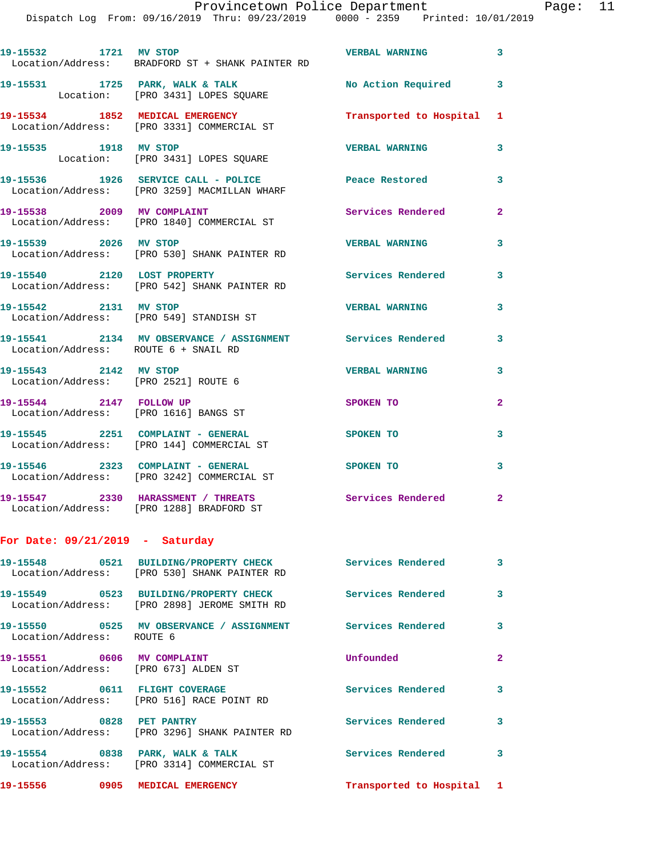Dispatch Log From: 09/16/2019 Thru: 09/23/2019 0000 - 2359 Printed: 10/01/2019

| 19-15532 1721 MV STOP                                               | Location/Address: BRADFORD ST + SHANK PAINTER RD                                      | <b>VERBAL WARNING</b>     | $\mathbf{3}$   |
|---------------------------------------------------------------------|---------------------------------------------------------------------------------------|---------------------------|----------------|
|                                                                     | 19-15531 1725 PARK, WALK & TALK<br>Location: [PRO 3431] LOPES SQUARE                  | No Action Required 3      |                |
|                                                                     | 19-15534 1852 MEDICAL EMERGENCY<br>Location/Address: [PRO 3331] COMMERCIAL ST         | Transported to Hospital 1 |                |
| 19-15535 1918 MV STOP                                               | Location: [PRO 3431] LOPES SQUARE                                                     | <b>VERBAL WARNING</b>     | 3              |
|                                                                     | 19-15536 1926 SERVICE CALL - POLICE<br>Location/Address: [PRO 3259] MACMILLAN WHARF   | Peace Restored            | 3              |
|                                                                     | 19-15538 2009 MV COMPLAINT<br>Location/Address: [PRO 1840] COMMERCIAL ST              | Services Rendered         | $\overline{a}$ |
| 19-15539 2026 MV STOP                                               | Location/Address: [PRO 530] SHANK PAINTER RD                                          | <b>VERBAL WARNING</b>     | 3              |
|                                                                     | 19-15540 2120 LOST PROPERTY<br>Location/Address: [PRO 542] SHANK PAINTER RD           | <b>Services Rendered</b>  | 3              |
| 19-15542 2131 MV STOP                                               | Location/Address: [PRO 549] STANDISH ST                                               | <b>VERBAL WARNING</b>     | 3              |
| Location/Address: ROUTE 6 + SNAIL RD                                | 19-15541 2134 MV OBSERVANCE / ASSIGNMENT Services Rendered                            |                           | 3              |
| 19-15543 2142 MV STOP<br>Location/Address: [PRO 2521] ROUTE 6       |                                                                                       | <b>VERBAL WARNING</b>     | 3              |
| 19-15544 2147 FOLLOW UP<br>Location/Address: [PRO 1616] BANGS ST    |                                                                                       | SPOKEN TO                 | $\mathbf{2}$   |
|                                                                     | 19-15545 2251 COMPLAINT - GENERAL<br>Location/Address: [PRO 144] COMMERCIAL ST        | <b>SPOKEN TO</b>          | 3              |
|                                                                     | 19-15546 2323 COMPLAINT - GENERAL<br>Location/Address: [PRO 3242] COMMERCIAL ST       | SPOKEN TO                 | 3              |
|                                                                     | 19-15547 2330 HARASSMENT / THREATS<br>Location/Address: [PRO 1288] BRADFORD ST        | Services Rendered 2       |                |
| For Date: $09/21/2019$ - Saturday                                   |                                                                                       |                           |                |
|                                                                     | 19-15548 0521 BUILDING/PROPERTY CHECK<br>Location/Address: [PRO 530] SHANK PAINTER RD | <b>Services Rendered</b>  | 3              |
|                                                                     | 19-15549 0523 BUILDING/PROPERTY CHECK<br>Location/Address: [PRO 2898] JEROME SMITH RD | <b>Services Rendered</b>  | 3              |
| Location/Address: ROUTE 6                                           | 19-15550 0525 MV OBSERVANCE / ASSIGNMENT Services Rendered                            |                           | 3              |
| 19-15551 0606 MV COMPLAINT<br>Location/Address: [PRO 673] ALDEN ST  |                                                                                       | Unfounded                 | $\mathbf{2}$   |
|                                                                     | 19-15552 0611 FLIGHT COVERAGE<br>Location/Address: [PRO 516] RACE POINT RD            | Services Rendered         | 3              |
| 19-15553 0828 PET PANTRY                                            | Location/Address: [PRO 3296] SHANK PAINTER RD                                         | Services Rendered         | 3              |
| $10 - 15554$ $0930$ $030$ $030$ $030$ $030$ $030$ $030$ $030$ $030$ |                                                                                       | Corriges Bondored         |                |

**19-15554 0838 PARK, WALK & TALK Services Rendered 3**  Location/Address: [PRO 3314] COMMERCIAL ST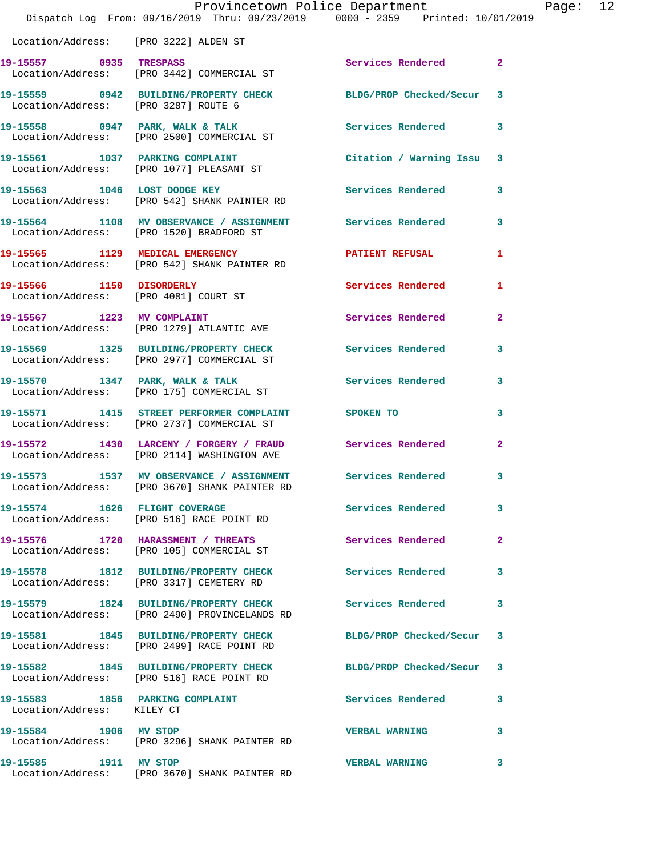|                                       | Dispatch Log From: 09/16/2019 Thru: 09/23/2019 0000 - 2359 Printed: 10/01/2019                                | Provincetown Police Department |                | Page: 12 |  |
|---------------------------------------|---------------------------------------------------------------------------------------------------------------|--------------------------------|----------------|----------|--|
| Location/Address: [PRO 3222] ALDEN ST |                                                                                                               |                                |                |          |  |
| 19-15557 0935 TRESPASS                | Location/Address: [PRO 3442] COMMERCIAL ST                                                                    | Services Rendered 2            |                |          |  |
| Location/Address: [PRO 3287] ROUTE 6  | 19-15559 0942 BUILDING/PROPERTY CHECK BLDG/PROP Checked/Secur 3                                               |                                |                |          |  |
|                                       | 19-15558 0947 PARK, WALK & TALK<br>Location/Address: [PRO 2500] COMMERCIAL ST                                 | Services Rendered              | 3              |          |  |
|                                       | 19-15561 1037 PARKING COMPLAINT<br>Location/Address: [PRO 1077] PLEASANT ST                                   | Citation / Warning Issu 3      |                |          |  |
|                                       | 19-15563 1046 LOST DODGE KEY<br>Location/Address: [PRO 542] SHANK PAINTER RD                                  | Services Rendered              | 3              |          |  |
|                                       | 19-15564 1108 MV OBSERVANCE / ASSIGNMENT Services Rendered<br>Location/Address: [PRO 1520] BRADFORD ST        |                                | 3              |          |  |
|                                       | 19-15565 1129 MEDICAL EMERGENCY<br>Location/Address: [PRO 542] SHANK PAINTER RD                               | <b>PATIENT REFUSAL</b>         | 1              |          |  |
|                                       | 19-15566 1150 DISORDERLY<br>Location/Address: [PRO 4081] COURT ST                                             | Services Rendered              | $\mathbf{1}$   |          |  |
|                                       | 19-15567 1223 MV COMPLAINT<br>Location/Address: [PRO 1279] ATLANTIC AVE                                       | Services Rendered              | $\overline{2}$ |          |  |
|                                       | 19-15569 1325 BUILDING/PROPERTY CHECK<br>Location/Address: [PRO 2977] COMMERCIAL ST                           | Services Rendered              | 3              |          |  |
|                                       | 19-15570 1347 PARK, WALK & TALK<br>Location/Address: [PRO 175] COMMERCIAL ST                                  | <b>Services Rendered</b>       | 3              |          |  |
|                                       | 19-15571 1415 STREET PERFORMER COMPLAINT SPOKEN TO<br>Location/Address: [PRO 2737] COMMERCIAL ST              |                                | 3              |          |  |
|                                       | 19-15572 1430 LARCENY / FORGERY / FRAUD Services Rendered<br>Location/Address: [PRO 2114] WASHINGTON AVE      |                                | $\mathbf{2}$   |          |  |
|                                       | 19-15573 1537 MV OBSERVANCE / ASSIGNMENT Services Rendered 3<br>Location/Address: [PRO 3670] SHANK PAINTER RD |                                |                |          |  |
|                                       | 19-15574 1626 FLIGHT COVERAGE Services Rendered<br>Location/Address: [PRO 516] RACE POINT RD                  |                                | 3              |          |  |
|                                       | 19-15576 1720 HARASSMENT / THREATS<br>Location/Address: [PRO 105] COMMERCIAL ST                               | Services Rendered              | $\mathbf{2}$   |          |  |
|                                       | 19-15578 1812 BUILDING/PROPERTY CHECK<br>Location/Address: [PRO 3317] CEMETERY RD                             | <b>Services Rendered</b>       | 3              |          |  |
|                                       | 19-15579 1824 BUILDING/PROPERTY CHECK Services Rendered<br>Location/Address: [PRO 2490] PROVINCELANDS RD      |                                | 3              |          |  |
|                                       | 19-15581 1845 BUILDING/PROPERTY CHECK BLDG/PROP Checked/Secur<br>Location/Address: [PRO 2499] RACE POINT RD   |                                | 3              |          |  |
|                                       | 19-15582 1845 BUILDING/PROPERTY CHECK BLDG/PROP Checked/Secur 3<br>Location/Address: [PRO 516] RACE POINT RD  |                                |                |          |  |
| Location/Address: KILEY CT            | 19-15583 1856 PARKING COMPLAINT                                                                               | <b>Services Rendered</b>       | 3              |          |  |
| 19-15584 1906 MV STOP                 | Location/Address: [PRO 3296] SHANK PAINTER RD                                                                 | <b>VERBAL WARNING</b>          | 3              |          |  |
| 19-15585 1911 MV STOP                 | Location/Address: [PRO 3670] SHANK PAINTER RD                                                                 | <b>VERBAL WARNING</b>          | 3              |          |  |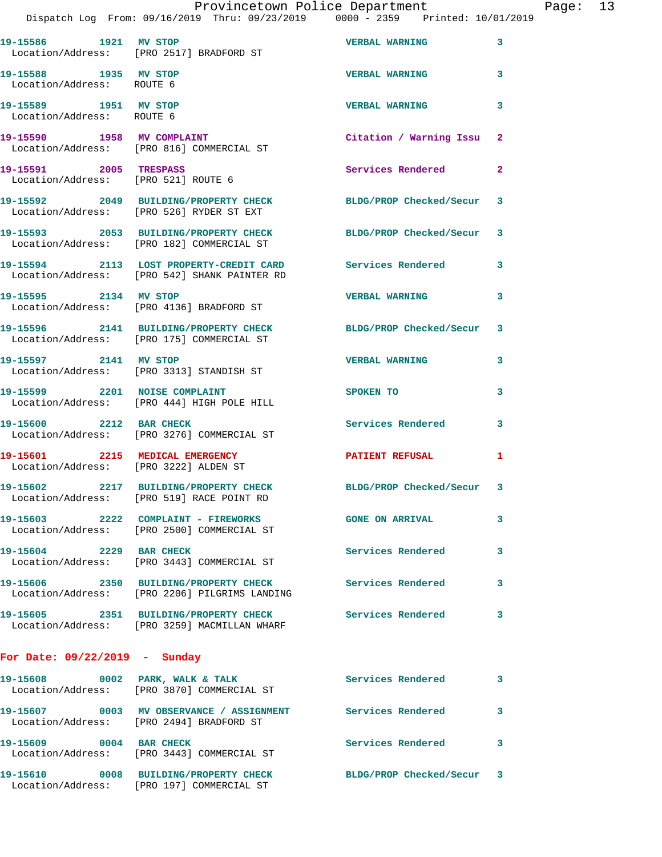|                                                    | Dispatch Log From: 09/16/2019 Thru: 09/23/2019 0000 - 2359 Printed: 10/01/2019                               | Provincetown Police Department |   | Page: 13 |  |
|----------------------------------------------------|--------------------------------------------------------------------------------------------------------------|--------------------------------|---|----------|--|
|                                                    | 19-15586 1921 MV STOP<br>Location/Address: [PRO 2517] BRADFORD ST                                            | <b>VERBAL WARNING</b> 3        |   |          |  |
| 19-15588 1935 MV STOP<br>Location/Address: ROUTE 6 |                                                                                                              | <b>VERBAL WARNING</b>          | 3 |          |  |
| 19-15589 1951 MV STOP<br>Location/Address: ROUTE 6 |                                                                                                              | <b>VERBAL WARNING</b>          | 3 |          |  |
|                                                    | 19-15590 1958 MV COMPLAINT<br>Location/Address: [PRO 816] COMMERCIAL ST                                      | Citation / Warning Issu 2      |   |          |  |
| 19-15591 2005 TRESPASS                             | Location/Address: [PRO 521] ROUTE 6                                                                          | Services Rendered 2            |   |          |  |
|                                                    | 19-15592 2049 BUILDING/PROPERTY CHECK BLDG/PROP Checked/Secur 3<br>Location/Address: [PRO 526] RYDER ST EXT  |                                |   |          |  |
|                                                    | 19-15593 2053 BUILDING/PROPERTY CHECK BLDG/PROP Checked/Secur 3<br>Location/Address: [PRO 182] COMMERCIAL ST |                                |   |          |  |
|                                                    | 19-15594 2113 LOST PROPERTY-CREDIT CARD Services Rendered 3<br>Location/Address: [PRO 542] SHANK PAINTER RD  |                                |   |          |  |
|                                                    | 19-15595 2134 MV STOP<br>Location/Address: [PRO 4136] BRADFORD ST                                            | VERBAL WARNING 3               |   |          |  |
|                                                    | 19-15596 2141 BUILDING/PROPERTY CHECK BLDG/PROP Checked/Secur 3<br>Location/Address: [PRO 175] COMMERCIAL ST |                                |   |          |  |
| 19-15597 2141 MV STOP                              | Location/Address: [PRO 3313] STANDISH ST                                                                     | VERBAL WARNING 3               |   |          |  |
|                                                    | 19-15599 2201 NOISE COMPLAINT<br>Location/Address: [PRO 444] HIGH POLE HILL                                  | SPOKEN TO                      | 3 |          |  |
| 19-15600 2212 BAR CHECK                            | Location/Address: [PRO 3276] COMMERCIAL ST                                                                   | Services Rendered 3            |   |          |  |
| Location/Address: [PRO 3222] ALDEN ST              | 19-15601 2215 MEDICAL EMERGENCY PATIENT REFUSAL 1                                                            |                                |   |          |  |
|                                                    | 19-15602 2217 BUILDING/PROPERTY CHECK<br>Location/Address: [PRO 519] RACE POINT RD                           | BLDG/PROP Checked/Secur 3      |   |          |  |
|                                                    | 19-15603 2222 COMPLAINT - FIREWORKS GONE ON ARRIVAL<br>Location/Address: [PRO 2500] COMMERCIAL ST            |                                | 3 |          |  |
| 19-15604 2229 BAR CHECK                            | Location/Address: [PRO 3443] COMMERCIAL ST                                                                   | Services Rendered              | 3 |          |  |
|                                                    | 19-15606 2350 BUILDING/PROPERTY CHECK Services Rendered<br>Location/Address: [PRO 2206] PILGRIMS LANDING     |                                | 3 |          |  |
|                                                    | 19-15605 2351 BUILDING/PROPERTY CHECK Services Rendered 3<br>Location/Address: [PRO 3259] MACMILLAN WHARF    |                                |   |          |  |
| For Date: $09/22/2019$ - Sunday                    |                                                                                                              |                                |   |          |  |
|                                                    | 19-15608 0002 PARK, WALK & TALK Services Rendered 3<br>Location/Address: [PRO 3870] COMMERCIAL ST            |                                |   |          |  |
|                                                    | 19-15607 0003 MV OBSERVANCE / ASSIGNMENT Services Rendered<br>Location/Address: [PRO 2494] BRADFORD ST       |                                | 3 |          |  |
| 19-15609 0004 BAR CHECK                            | Location/Address: [PRO 3443] COMMERCIAL ST                                                                   | Services Rendered              | 3 |          |  |
|                                                    | 19-15610 0008 BUILDING/PROPERTY CHECK BLDG/PROP Checked/Secur 3<br>Location/Address: [PRO 197] COMMERCIAL ST |                                |   |          |  |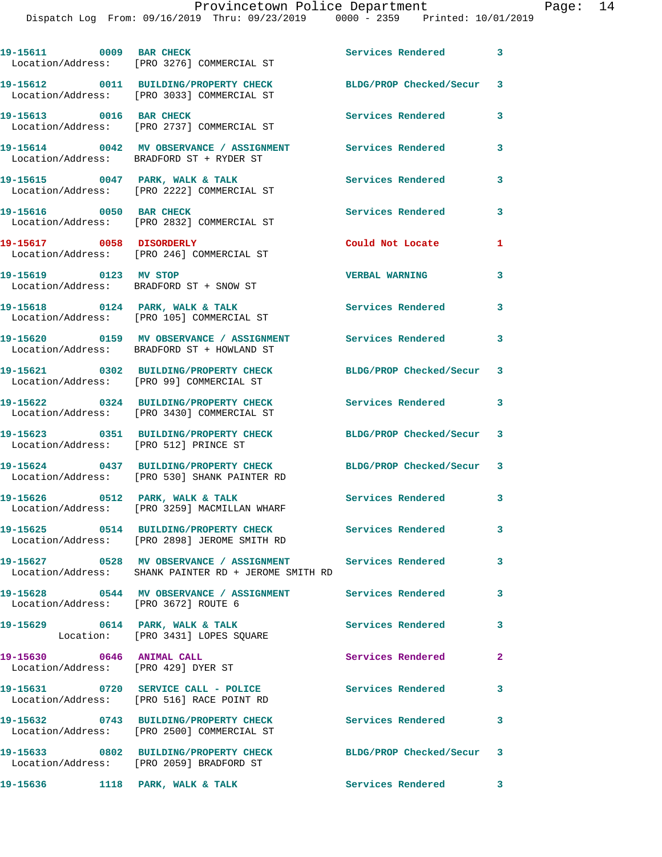| 19-15611 0009 BAR CHECK                                          | Location/Address: [PRO 3276] COMMERCIAL ST                                                                         | Services Rendered         | $\mathbf{3}$             |
|------------------------------------------------------------------|--------------------------------------------------------------------------------------------------------------------|---------------------------|--------------------------|
|                                                                  | 19-15612 0011 BUILDING/PROPERTY CHECK<br>Location/Address: [PRO 3033] COMMERCIAL ST                                | BLDG/PROP Checked/Secur 3 |                          |
| 19-15613 0016 BAR CHECK                                          | Location/Address: [PRO 2737] COMMERCIAL ST                                                                         | Services Rendered         | 3                        |
|                                                                  | 19-15614 0042 MV OBSERVANCE / ASSIGNMENT<br>Location/Address: BRADFORD ST + RYDER ST                               | <b>Services Rendered</b>  | $\mathbf{3}$             |
|                                                                  | 19-15615 0047 PARK, WALK & TALK<br>Location/Address: [PRO 2222] COMMERCIAL ST                                      | Services Rendered         | 3                        |
| 19-15616 0050 BAR CHECK                                          | Location/Address: [PRO 2832] COMMERCIAL ST                                                                         | Services Rendered         | $\mathbf{3}$             |
| 19-15617 0058 DISORDERLY                                         | Location/Address: [PRO 246] COMMERCIAL ST                                                                          | Could Not Locate          | 1                        |
| 19-15619 0123 MV STOP                                            | Location/Address: BRADFORD ST + SNOW ST                                                                            | <b>VERBAL WARNING</b>     | $\mathbf{3}$             |
|                                                                  | 19-15618 0124 PARK, WALK & TALK<br>Location/Address: [PRO 105] COMMERCIAL ST                                       | <b>Services Rendered</b>  | $\mathbf{3}$             |
|                                                                  | 19-15620 0159 MV OBSERVANCE / ASSIGNMENT<br>Location/Address: BRADFORD ST + HOWLAND ST                             | <b>Services Rendered</b>  | 3                        |
|                                                                  | 19-15621 0302 BUILDING/PROPERTY CHECK<br>Location/Address: [PRO 99] COMMERCIAL ST                                  | BLDG/PROP Checked/Secur 3 |                          |
|                                                                  | 19-15622 0324 BUILDING/PROPERTY CHECK<br>Location/Address: [PRO 3430] COMMERCIAL ST                                | <b>Services Rendered</b>  | $\overline{\phantom{a}}$ |
| Location/Address: [PRO 512] PRINCE ST                            | 19-15623 0351 BUILDING/PROPERTY CHECK                                                                              | BLDG/PROP Checked/Secur 3 |                          |
|                                                                  | 19-15624 0437 BUILDING/PROPERTY CHECK<br>Location/Address: [PRO 530] SHANK PAINTER RD                              | BLDG/PROP Checked/Secur 3 |                          |
|                                                                  | 19-15626 0512 PARK, WALK & TALK<br>Location/Address: [PRO 3259] MACMILLAN WHARF                                    | Services Rendered 3       |                          |
|                                                                  | Location/Address: [PRO 2898] JEROME SMITH RD                                                                       |                           | $\overline{\mathbf{3}}$  |
|                                                                  | 19-15627 0528 MV OBSERVANCE / ASSIGNMENT Services Rendered<br>Location/Address: SHANK PAINTER RD + JEROME SMITH RD |                           | $\mathbf{3}$             |
| Location/Address: [PRO 3672] ROUTE 6                             | 19-15628 0544 MV OBSERVANCE / ASSIGNMENT Services Rendered 3                                                       |                           |                          |
|                                                                  | 19-15629 0614 PARK, WALK & TALK<br>Location: [PRO 3431] LOPES SQUARE                                               | <b>Services Rendered</b>  | $\mathbf{3}$             |
| 19-15630 0646 ANIMAL CALL<br>Location/Address: [PRO 429] DYER ST |                                                                                                                    | Services Rendered         | $\mathbf{2}$             |
|                                                                  | 19-15631 0720 SERVICE CALL - POLICE<br>Location/Address: [PRO 516] RACE POINT RD                                   | <b>Services Rendered</b>  | 3                        |
|                                                                  | 19-15632 0743 BUILDING/PROPERTY CHECK<br>Location/Address: [PRO 2500] COMMERCIAL ST                                | Services Rendered         | $\overline{\mathbf{3}}$  |
|                                                                  | 19-15633 0802 BUILDING/PROPERTY CHECK<br>Location/Address: [PRO 2059] BRADFORD ST                                  | BLDG/PROP Checked/Secur 3 |                          |
| 19-15636 1118 PARK, WALK & TALK                                  |                                                                                                                    | Services Rendered 3       |                          |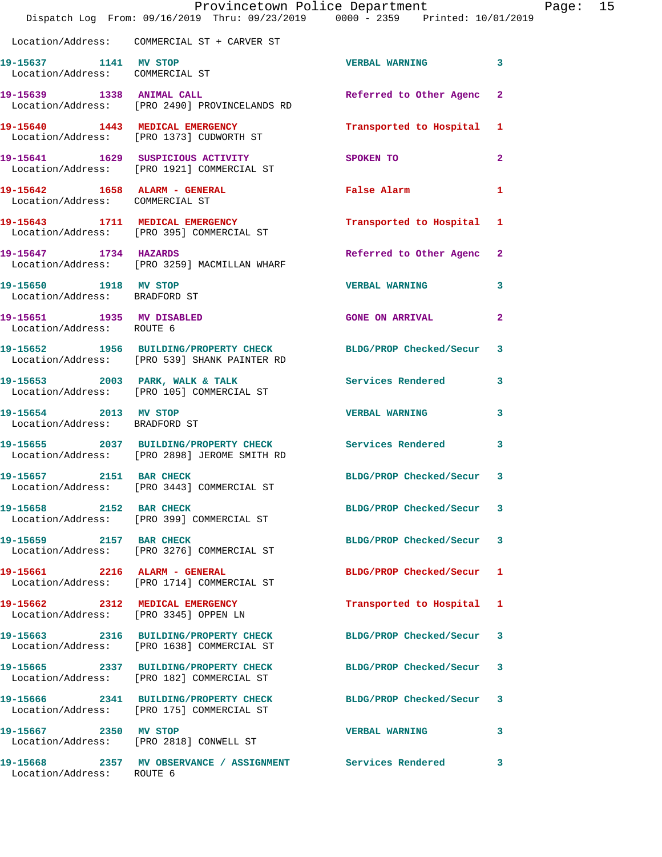|                                                                  | Provincetown Police Department<br>Dispatch Log From: 09/16/2019 Thru: 09/23/2019 0000 - 2359 Printed: 10/01/2019 |                         |                |
|------------------------------------------------------------------|------------------------------------------------------------------------------------------------------------------|-------------------------|----------------|
|                                                                  | Location/Address: COMMERCIAL ST + CARVER ST                                                                      |                         |                |
| 19-15637 1141 MV STOP<br>Location/Address: COMMERCIAL ST         |                                                                                                                  | <b>VERBAL WARNING</b>   | 3              |
|                                                                  | 19-15639 1338 ANIMAL CALL<br>Location/Address: [PRO 2490] PROVINCELANDS RD                                       | Referred to Other Agenc | $\mathbf{2}$   |
|                                                                  | 19-15640 1443 MEDICAL EMERGENCY<br>Location/Address: [PRO 1373] CUDWORTH ST                                      | Transported to Hospital | 1              |
|                                                                  | 19-15641 1629 SUSPICIOUS ACTIVITY<br>Location/Address: [PRO 1921] COMMERCIAL ST                                  | SPOKEN TO               | $\mathbf{2}$   |
| 19-15642 1658 ALARM - GENERAL<br>Location/Address: COMMERCIAL ST |                                                                                                                  | False Alarm             | 1              |
|                                                                  | 19-15643 1711 MEDICAL EMERGENCY<br>Location/Address: [PRO 395] COMMERCIAL ST                                     | Transported to Hospital | 1              |
| 19-15647 1734 HAZARDS                                            | Location/Address: [PRO 3259] MACMILLAN WHARF                                                                     | Referred to Other Agenc | $\mathbf{2}$   |
| 19-15650 1918 MV STOP<br>Location/Address: BRADFORD ST           |                                                                                                                  | <b>VERBAL WARNING</b>   | 3              |
| 19-15651 1935 MV DISABLED<br>Location/Address: ROUTE 6           |                                                                                                                  | <b>GONE ON ARRIVAL</b>  | $\overline{a}$ |
|                                                                  | 19-15652 1956 BUILDING/PROPERTY CHECK BLDG/PROP Checked/Secur<br>Location/Address: [PRO 539] SHANK PAINTER RD    |                         | 3              |
|                                                                  | 19-15653 2003 PARK, WALK & TALK<br>Location/Address: [PRO 105] COMMERCIAL ST                                     | Services Rendered       | 3              |
| 19-15654 2013 MV STOP<br>Location/Address: BRADFORD ST           |                                                                                                                  | <b>VERBAL WARNING</b>   | 3              |
|                                                                  | 19-15655 2037 BUILDING/PROPERTY CHECK Services Rendered<br>Location/Address: [PRO 2898] JEROME SMITH RD          |                         | 3              |
| 19-15657 2151 BAR CHECK                                          | Location/Address: [PRO 3443] COMMERCIAL ST                                                                       | BLDG/PROP Checked/Secur | 3              |
| 19-15658 2152 BAR CHECK                                          | Location/Address: [PRO 399] COMMERCIAL ST                                                                        | BLDG/PROP Checked/Secur | 3              |
| 19-15659 2157 BAR CHECK                                          | Location/Address: [PRO 3276] COMMERCIAL ST                                                                       | BLDG/PROP Checked/Secur | 3              |
| 19-15661 2216 ALARM - GENERAL                                    | Location/Address: [PRO 1714] COMMERCIAL ST                                                                       | BLDG/PROP Checked/Secur | ı              |
| 19-15662 2312 MEDICAL EMERGENCY                                  | Location/Address: [PRO 3345] OPPEN LN                                                                            | Transported to Hospital | 1              |
|                                                                  | 19-15663 2316 BUILDING/PROPERTY CHECK<br>Location/Address: [PRO 1638] COMMERCIAL ST                              | BLDG/PROP Checked/Secur | 3              |
|                                                                  | 19-15665 2337 BUILDING/PROPERTY CHECK<br>Location/Address: [PRO 182] COMMERCIAL ST                               | BLDG/PROP Checked/Secur | 3              |
|                                                                  | 19-15666 2341 BUILDING/PROPERTY CHECK<br>Location/Address: [PRO 175] COMMERCIAL ST                               | BLDG/PROP Checked/Secur | 3              |
| 19-15667 2350 MV STOP                                            | Location/Address: [PRO 2818] CONWELL ST                                                                          | <b>VERBAL WARNING</b>   | 3              |
| Location/Address: ROUTE 6                                        | 19-15668 2357 MV OBSERVANCE / ASSIGNMENT Services Rendered                                                       |                         | 3              |

Page: 15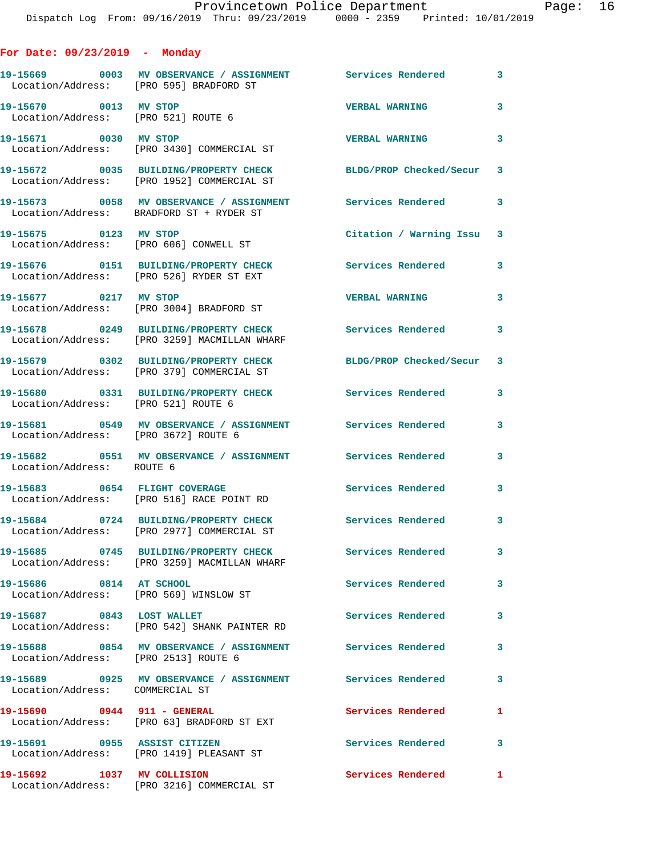| For Date: $09/23/2019$ - Monday                              |                                                                                                          |                           |                         |
|--------------------------------------------------------------|----------------------------------------------------------------------------------------------------------|---------------------------|-------------------------|
| Location/Address: [PRO 595] BRADFORD ST                      |                                                                                                          |                           |                         |
| 19-15670 0013 MV STOP<br>Location/Address: [PRO 521] ROUTE 6 |                                                                                                          | <b>VERBAL WARNING</b>     | 3                       |
| 19-15671 0030 MV STOP                                        | Location/Address: [PRO 3430] COMMERCIAL ST                                                               | <b>VERBAL WARNING</b>     | 3                       |
|                                                              | 19-15672 0035 BUILDING/PROPERTY CHECK<br>Location/Address: [PRO 1952] COMMERCIAL ST                      | BLDG/PROP Checked/Secur 3 |                         |
|                                                              | 19-15673 0058 MV OBSERVANCE / ASSIGNMENT Services Rendered 3<br>Location/Address: BRADFORD ST + RYDER ST |                           |                         |
| 19-15675 0123 MV STOP                                        | Location/Address: [PRO 606] CONWELL ST                                                                   | Citation / Warning Issu 3 |                         |
|                                                              | 19-15676 0151 BUILDING/PROPERTY CHECK<br>Location/Address: [PRO 526] RYDER ST EXT                        | Services Rendered         | $\mathbf{3}$            |
| 19-15677 0217 MV STOP                                        | Location/Address: [PRO 3004] BRADFORD ST                                                                 | <b>VERBAL WARNING</b>     | 3                       |
|                                                              | 19-15678 0249 BUILDING/PROPERTY CHECK<br>Location/Address: [PRO 3259] MACMILLAN WHARF                    | <b>Services Rendered</b>  | $\mathbf{3}$            |
|                                                              | 19-15679 0302 BUILDING/PROPERTY CHECK<br>Location/Address: [PRO 379] COMMERCIAL ST                       | BLDG/PROP Checked/Secur 3 |                         |
| Location/Address: [PRO 521] ROUTE 6                          | 19-15680 0331 BUILDING/PROPERTY CHECK                                                                    | <b>Services Rendered</b>  | 3                       |
| Location/Address: [PRO 3672] ROUTE 6                         | 19-15681 0549 MV OBSERVANCE / ASSIGNMENT Services Rendered                                               |                           | 3                       |
| Location/Address: ROUTE 6                                    |                                                                                                          |                           | 3                       |
|                                                              | 19-15683 0654 FLIGHT COVERAGE<br>Location/Address: [PRO 516] RACE POINT RD                               | Services Rendered         | 3                       |
|                                                              | 19-15684 0724 BUILDING/PROPERTY CHECK<br>Location/Address: [PRO 2977] COMMERCIAL ST                      | Services Rendered         | $\overline{\mathbf{3}}$ |
|                                                              | 19-15685 0745 BUILDING/PROPERTY CHECK<br>Location/Address: [PRO 3259] MACMILLAN WHARF                    | <b>Services Rendered</b>  | 3                       |
| 19-15686 0814 AT SCHOOL                                      | Location/Address: [PRO 569] WINSLOW ST                                                                   | <b>Services Rendered</b>  | 3                       |
| 19-15687 0843 LOST WALLET                                    | Location/Address: [PRO 542] SHANK PAINTER RD                                                             | <b>Services Rendered</b>  | 3                       |
| Location/Address: [PRO 2513] ROUTE 6                         | 19-15688 0854 MV OBSERVANCE / ASSIGNMENT Services Rendered                                               |                           | 3                       |
| Location/Address: COMMERCIAL ST                              |                                                                                                          |                           | 3                       |
| 19-15690 0944 911 - GENERAL                                  | Location/Address: [PRO 63] BRADFORD ST EXT                                                               | Services Rendered         | 1                       |
| 19-15691 0955 ASSIST CITIZEN                                 | Location/Address: [PRO 1419] PLEASANT ST                                                                 | Services Rendered         | 3                       |
| 19-15692 1037 MV COLLISION                                   | Location/Address: [PRO 3216] COMMERCIAL ST                                                               | Services Rendered         | 1                       |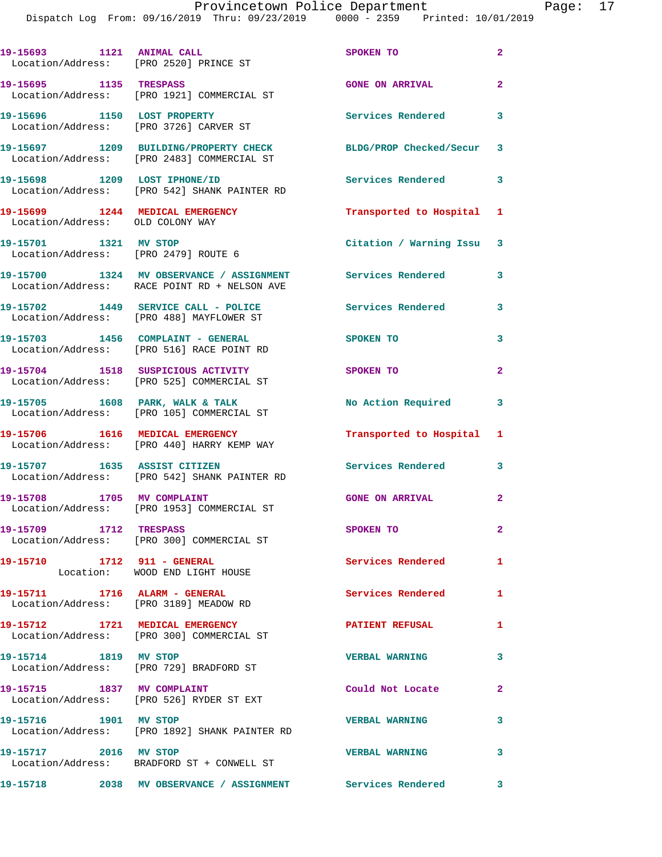Dispatch Log From: 09/16/2019 Thru: 09/23/2019 0000 - 2359 Printed: 10/01/2019

| 19-15693 1121 ANIMAL CALL                                           | Location/Address: [PRO 2520] PRINCE ST                                                   | SPOKEN TO                 | $\overline{2}$ |
|---------------------------------------------------------------------|------------------------------------------------------------------------------------------|---------------------------|----------------|
| 19-15695 1135 TRESPASS                                              | Location/Address: [PRO 1921] COMMERCIAL ST                                               | <b>GONE ON ARRIVAL</b>    | $\overline{2}$ |
| 19-15696 1150 LOST PROPERTY                                         | Location/Address: [PRO 3726] CARVER ST                                                   | Services Rendered 3       |                |
|                                                                     | 19-15697 1209 BUILDING/PROPERTY CHECK<br>Location/Address: [PRO 2483] COMMERCIAL ST      | BLDG/PROP Checked/Secur 3 |                |
| 19-15698 1209 LOST IPHONE/ID                                        | Location/Address: [PRO 542] SHANK PAINTER RD                                             | Services Rendered 3       |                |
| 19-15699 1244 MEDICAL EMERGENCY<br>Location/Address: OLD COLONY WAY |                                                                                          | Transported to Hospital 1 |                |
| 19-15701 1321 MV STOP                                               | Location/Address: [PRO 2479] ROUTE 6                                                     | Citation / Warning Issu 3 |                |
|                                                                     | 19-15700 1324 MV OBSERVANCE / ASSIGNMENT<br>Location/Address: RACE POINT RD + NELSON AVE | Services Rendered         | 3              |
|                                                                     | 19-15702 1449 SERVICE CALL - POLICE<br>Location/Address: [PRO 488] MAYFLOWER ST          | <b>Services Rendered</b>  | 3              |
|                                                                     | 19-15703 1456 COMPLAINT - GENERAL<br>Location/Address: [PRO 516] RACE POINT RD           | SPOKEN TO                 | 3              |
|                                                                     | 19-15704 1518 SUSPICIOUS ACTIVITY<br>Location/Address: [PRO 525] COMMERCIAL ST           | SPOKEN TO                 | $\overline{2}$ |
|                                                                     | 19-15705 1608 PARK, WALK & TALK<br>Location/Address: [PRO 105] COMMERCIAL ST             | No Action Required        | 3              |
| 19-15706 1616 MEDICAL EMERGENCY                                     | Location/Address: [PRO 440] HARRY KEMP WAY                                               | Transported to Hospital 1 |                |
| 19-15707 1635 ASSIST CITIZEN                                        | Location/Address: [PRO 542] SHANK PAINTER RD                                             | Services Rendered 3       |                |
| 19-15708 1705 MV COMPLAINT                                          | Location/Address: [PRO 1953] COMMERCIAL ST                                               | GONE ON ARRIVAL 2         |                |
| 19-15709 1712 TRESPASS                                              | Location/Address: [PRO 300] COMMERCIAL ST                                                | SPOKEN TO                 | $\mathbf{2}$   |
| 19-15710 1712 911 - GENERAL                                         | Location: WOOD END LIGHT HOUSE                                                           | Services Rendered         | $\mathbf{1}$   |
|                                                                     | 19-15711 1716 ALARM - GENERAL<br>Location/Address: [PRO 3189] MEADOW RD                  | <b>Services Rendered</b>  | 1              |
|                                                                     | 19-15712 1721 MEDICAL EMERGENCY<br>Location/Address: [PRO 300] COMMERCIAL ST             | <b>PATIENT REFUSAL</b>    | 1              |
| 19-15714 1819 MV STOP                                               | Location/Address: [PRO 729] BRADFORD ST                                                  | <b>VERBAL WARNING</b>     | 3              |
| 19-15715 1837 MV COMPLAINT                                          | Location/Address: [PRO 526] RYDER ST EXT                                                 | Could Not Locate          | $\overline{2}$ |
| 19-15716 1901 MV STOP                                               | Location/Address: [PRO 1892] SHANK PAINTER RD                                            | <b>VERBAL WARNING</b>     | 3              |
| 19-15717 2016 MV STOP                                               | Location/Address: BRADFORD ST + CONWELL ST                                               | <b>VERBAL WARNING</b>     | 3              |
|                                                                     | 19-15718 2038 MV OBSERVANCE / ASSIGNMENT Services Rendered 3                             |                           |                |